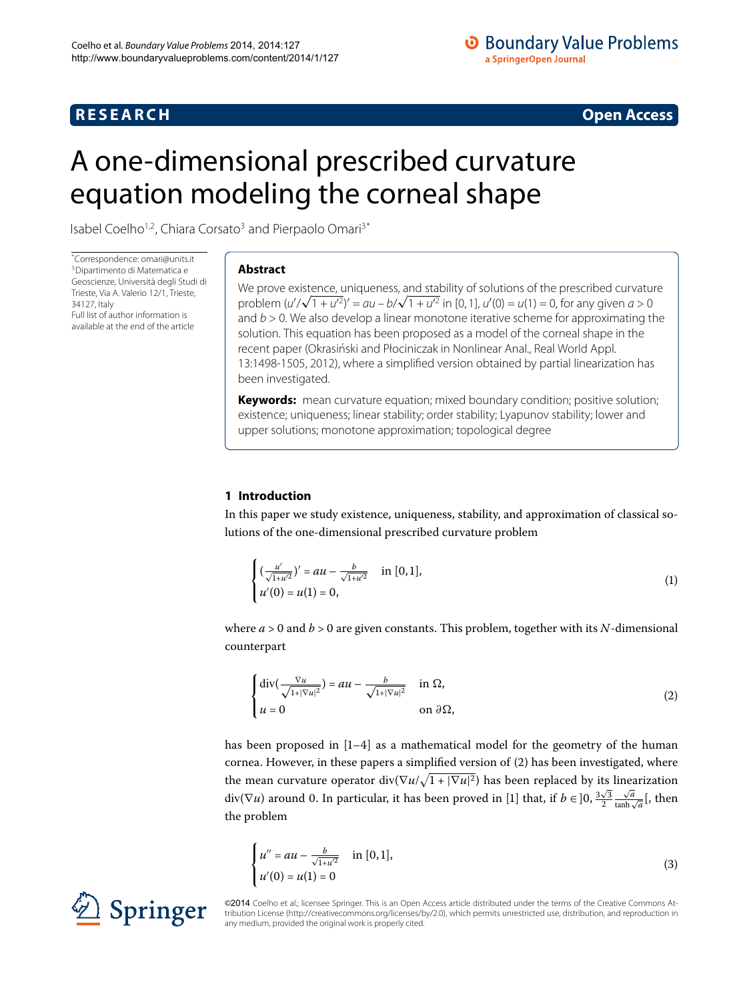# **R E S E A R C H Open Access**

# <span id="page-0-0"></span>A one-dimensional prescribed curvature equation modeling the corneal shape

Isabel Coelho<sup>[1](#page-18-0)[,2](#page-18-1)</sup>, Chiara Corsato<sup>[3](#page-18-2)</sup> and Pierpaolo Omari<sup>3[\\*](#page-0-0)</sup>

\* Correspondence: [omari@units.it](mailto:omari@units.it) [3](#page-18-2)Dipartimento di Matematica e Geoscienze, Università degli Studi di Trieste, Via A. Valerio 12/1, Trieste, 34127, Italy Full list of author information is available at the end of the article

# **Abstract**

We prove existence, uniqueness, and stability of solutions of the prescribed curvature problem  $(u'/\sqrt{1+u'^2})' = au - b/\sqrt{1+u'^2}$  in [0, 1],  $u'(0) = u(1) = 0$ , for any given  $a > 0$ and  $b > 0$ . We also develop a linear monotone iterative scheme for approximating the solution. This equation has been proposed as a model of the corneal shape in the recent paper (Okrasiński and Płociniczak in Nonlinear Anal., Real World Appl. 13:1498-1505, 2012), where a simplified version obtained by partial linearization has been investigated.

**Keywords:** mean curvature equation; mixed boundary condition; positive solution; existence; uniqueness; linear stability; order stability; Lyapunov stability; lower and upper solutions; monotone approximation; topological degree

# **1 Introduction**

In this paper we study existence, uniqueness, stability, and approximation of classical solutions of the one-dimensional prescribed curvature problem

<span id="page-0-2"></span><span id="page-0-1"></span>
$$
\begin{cases} \left(\frac{u'}{\sqrt{1+u'^2}}\right)' = au - \frac{b}{\sqrt{1+u'^2}} & \text{in } [0,1],\\ u'(0) = u(1) = 0, \end{cases}
$$
 (1)

where  $a > 0$  and  $b > 0$  are given constants. This problem, together with its *N*-dimensional counterpart

<span id="page-0-3"></span>
$$
\begin{cases} \operatorname{div}(\frac{\nabla u}{\sqrt{1+|\nabla u|^2}}) = au - \frac{b}{\sqrt{1+|\nabla u|^2}} & \text{in } \Omega, \\ u = 0 & \text{on } \partial \Omega, \end{cases}
$$
 (2)

has been proposed in  $[1-4]$  as a mathematical model for the geometry of the human cornea. However, in these papers a simplified version of  $(2)$  has been investigated, where the mean curvature operator div( $\nabla u/\sqrt{1+|\nabla u|^2}$ ) has been replaced by its linearization div( $\nabla u$ ) around 0. In particular, it has been proved in [1[\]](#page-18-3) that, if  $b \in ]0, \frac{3\sqrt{3}}{2}$  $\frac{\sqrt{a}}{\tanh \sqrt{a}}$  [, then the problem

$$
\begin{cases}\n u'' = au - \frac{b}{\sqrt{1+u'^2}} & \text{in } [0,1], \\
 u'(0) = u(1) = 0\n\end{cases}
$$
\n(3)



©2014 Coelho et al.; licensee Springer. This is an Open Access article distributed under the terms of the Creative Commons Attribution License ([http://creativecommons.org/licenses/by/2.0\)](http://creativecommons.org/licenses/by/2.0), which permits unrestricted use, distribution, and reproduction in any medium, provided the original work is properly cited.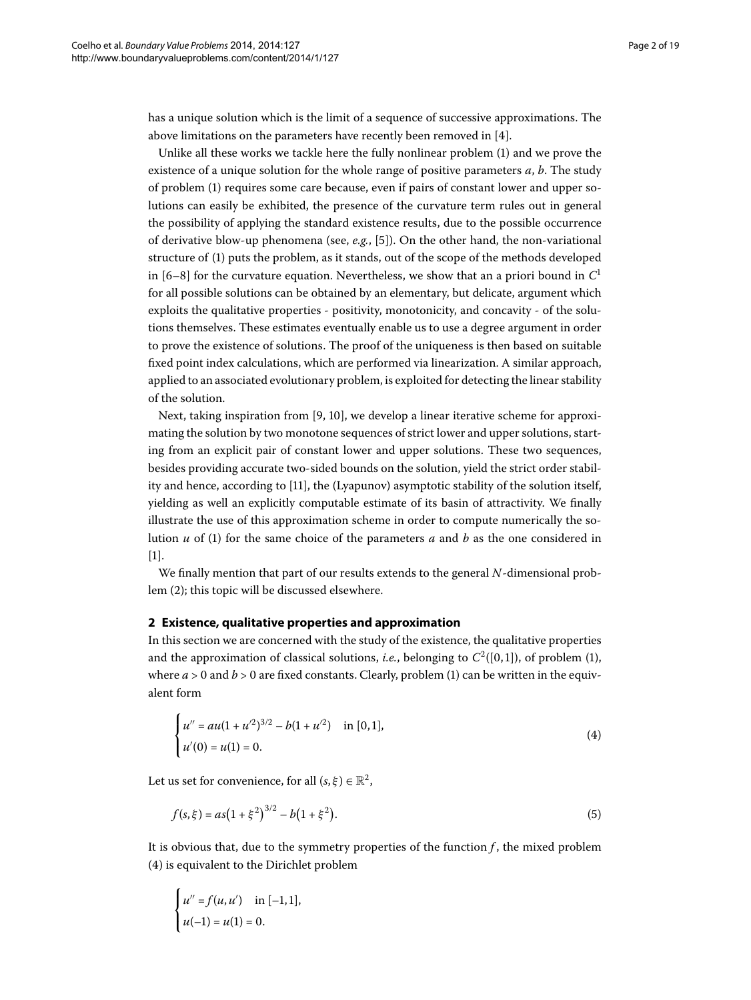has a unique solution which is the limit of a sequence of successive approximations. The above limitations on the parameters have recently been removed in  $[4]$ .

Unlike all these works we tackle here the fully nonlinear problem [\(](#page-0-2)1) and we prove the existence of a unique solution for the whole range of positive parameters *a*, *b*. The study of problem [\(](#page-0-2)) requires some care because, even if pairs of constant lower and upper solutions can easily be exhibited, the presence of the curvature term rules out in general the possibility of applying the standard existence results, due to the possible occurrence of derivative blow-up phenomena (see, *e.g.*, [5[\]](#page-18-5)). On the other hand, the non-variational structure of (1) puts the problem, as it stands, out of the scope of the methods developed in  $[6-8]$  $[6-8]$  for the curvature equation. Nevertheless, we show that an a priori bound in  $C<sup>1</sup>$ for all possible solutions can be obtained by an elementary, but delicate, argument which exploits the qualitative properties - positivity, monotonicity, and concavity - of the solutions themselves. These estimates eventually enable us to use a degree argument in order to prove the existence of solutions. The proof of the uniqueness is then based on suitable fixed point index calculations, which are performed via linearization. A similar approach, applied to an associated evolutionary problem, is exploited for detecting the linear stability of the solution.

Next, taking inspiration from  $[9, 10]$ , we develop a linear iterative scheme for approximating the solution by two monotone sequences of strict lower and upper solutions, starting from an explicit pair of constant lower and upper solutions. These two sequences, besides providing accurate two-sided bounds on the solution, yield the strict order stabil-ity and hence, according to [11[\]](#page-18-10), the (Lyapunov) asymptotic stability of the solution itself, yielding as well an explicitly computable estimate of its basin of attractivity. We finally illustrate the use of this approximation scheme in order to compute numerically the solution  $u$  of (1) for the same choice of the parameters  $a$  and  $b$  as the one considered in  $[1]$  $[1]$ .

We finally mention that part of our results extends to the general *N*-dimensional prob-lem [\(](#page-0-1)2); this topic will be discussed elsewhere.

# **2 Existence, qualitative properties and approximation**

In this section we are concerned with the study of the existence, the qualitative properties and the approximation of classical solutions, *i.e.*, belonging to  $C^2([0,1])$  $C^2([0,1])$ , of problem (1), where  $a > 0$  and  $b > 0$  are fixed constants. Clearly, problem (1) can be written in the equivalent form

<span id="page-1-0"></span>
$$
\begin{cases}\nu'' = au(1 + u'^2)^{3/2} - b(1 + u'^2) & \text{in } [0,1], \\
u'(0) = u(1) = 0.\n\end{cases}
$$
\n(4)

Let us set for convenience, for all  $(s, \xi) \in \mathbb{R}^2$ ,

$$
f(s,\xi) = a s (1 + \xi^2)^{3/2} - b (1 + \xi^2).
$$
\n(5)

It is obvious that, due to the symmetry properties of the function  $f$ , the mixed problem (4) is equivalent to the Dirichlet problem

$$
\begin{cases}\nu'' = f(u, u') & \text{in } [-1, 1], \\
u(-1) = u(1) = 0.\n\end{cases}
$$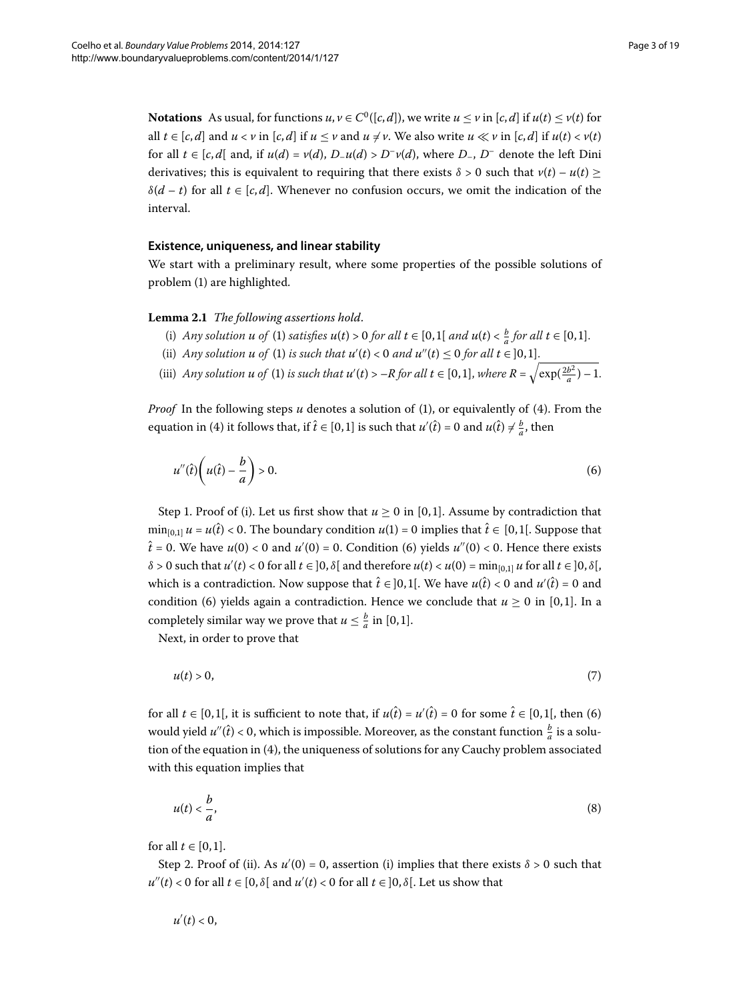**Notations** As usual, for functions  $u, v \in C^0([c, d])$ , we write  $u \le v$  in  $[c, d]$  if  $u(t) \le v(t)$  for all  $t \in [c, d]$  and  $u < v$  in  $[c, d]$  if  $u \le v$  and  $u \ne v$ . We also write  $u \ll v$  in  $[c, d]$  if  $u(t) < v(t)$ for all  $t \in [c, d]$  and, if  $u(d) = v(d)$ ,  $D_u(d) > D_v(d)$ , where  $D_u$ ,  $D_v$  denote the left Dini derivatives; this is equivalent to requiring that there exists  $\delta > 0$  such that  $v(t) - u(t)$  $\delta(d-t)$  for all  $t \in [c, d]$ . Whenever no confusion occurs, we omit the indication of the interval.

## <span id="page-2-1"></span>**Existence, uniqueness, and linear stability**

We start with a preliminary result, where some properties of the possible solutions of problem (1) are highlighted.

Lemma 2.1 The following assertions hold.

- <span id="page-2-0"></span>(i) *Any solution*  $u$  *of* (1) *satisfies*  $u(t) > 0$  *for all*  $t \in [0,1]$  *and*  $u(t) < \frac{b}{a}$  *for all*  $t \in [0,1]$ *.*
- (ii) *Any solution u of* (1) *is such that*  $u'(t) < 0$  *and*  $u''(t) \le 0$  *for all*  $t \in [0,1]$ .
- (iii[\)](#page-0-2) *Any solution u of* (1) *is such that*  $u'(t) > -R$  *for all*  $t \in [0,1]$ *, where*  $R = \sqrt{\exp(\frac{2b^2}{a}) 1}$ *.*

*Proof* In the following steps  $u$  denotes a solution of (1[\)](#page-0-2), or equivalently of [\(](#page-1-0)4). From the equation in (4) it follows that, if  $\hat{t} \in [0,1]$  is such that  $u'(\hat{t}) = 0$  and  $u(\hat{t}) \neq \frac{b}{a}$ , then

$$
u''(\hat{t})\left(u(\hat{t}) - \frac{b}{a}\right) > 0.
$$
\n<sup>(6)</sup>

Step 1. Proof of (i). Let us first show that  $u \ge 0$  in [0,1]. Assume by contradiction that  $\min_{[0,1]} u = u(\hat{t}) < 0$ . The boundary condition  $u(1) = 0$  implies that  $\hat{t} \in [0,1[$ . Suppose that  $\hat{t}$  = 0. We have  $u(0) < 0$  $u(0) < 0$  $u(0) < 0$  and  $u'(0) = 0$ . Condition (6) yields  $u''(0) < 0$ . Hence there exists  $\delta > 0$  such that  $u'(t) < 0$  for all  $t \in ]0, \delta[$  and therefore  $u(t) < u(0) = \min_{[0,1]} u$  for all  $t \in ]0, \delta[,$ which is a contradiction. Now suppose that  $\hat{t} \in ]0,1[$ . We have  $u(\hat{t}) < 0$  and  $u'(\hat{t}) = 0$  and condition (6) yields again a contradiction. Hence we conclude that  $u \ge 0$  in [0,1]. In a completely similar way we prove that  $u \leq \frac{b}{a}$  in [0,1].

Next, in order to prove that

 $u(t) > 0,$  (7)

for all  $t \in [0,1[$ , it is sufficient to note that, if  $u(\hat{t}) = u'(\hat{t}) = 0$  for some  $\hat{t} \in [0,1[$ , then (6) would yield  $u''(\hat{t}) < 0$ , which is impossible. Moreover, as the constant function  $\frac{b}{a}$  is a solu-tion of the equation in [\(](#page-1-0)4), the uniqueness of solutions for any Cauchy problem associated with this equation implies that

$$
u(t) < \frac{b}{a},\tag{8}
$$

for all  $t \in [0, 1]$ .

Step 2. Proof of (ii). As  $u'(0) = 0$ , assertion (i) implies that there exists  $\delta > 0$  such that  $u''(t) < 0$  for all  $t \in [0, \delta[$  and  $u'(t) < 0$  for all  $t \in ]0, \delta[$ . Let us show that

 $u'(t) < 0,$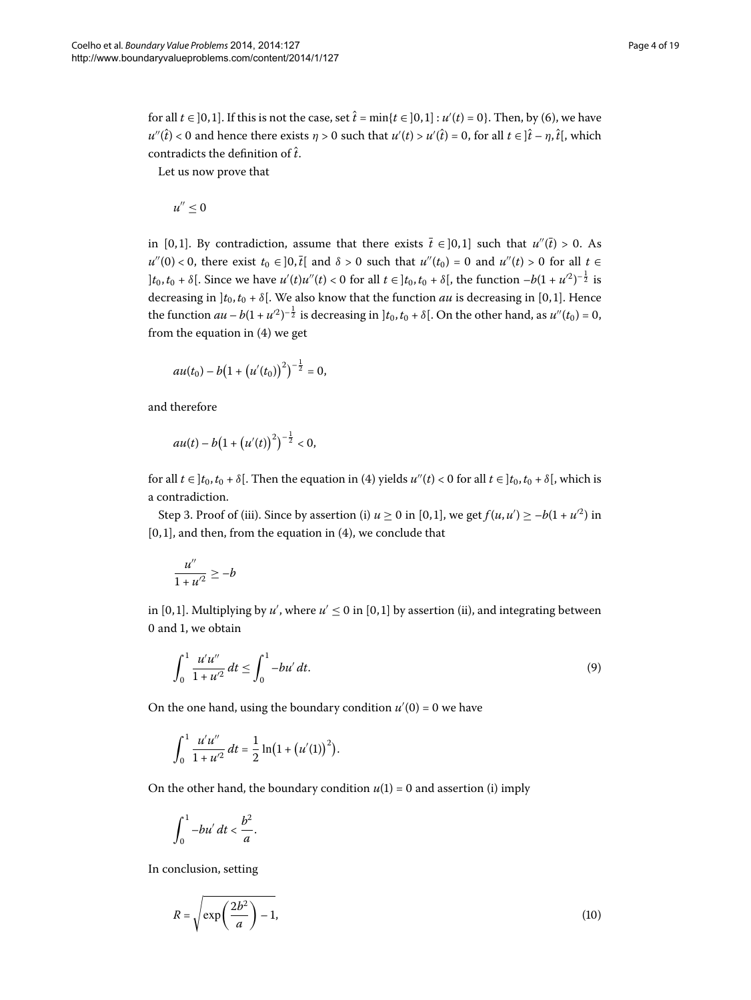for all  $t \in ]0,1]$ . If this is not the case, set  $\hat{t} = \min\{t \in ]0,1]: u'(t) = 0\}$ . Then, by (6), we have  $u''(\hat{t}) < 0$  and hence there exists  $\eta > 0$  such that  $u'(t) > u'(\hat{t}) = 0$ , for all  $t \in [\hat{t} - \eta, \hat{t}],$  which contradicts the definition of  $\hat{t}$ .

Let us now prove that

 $u'' \leq 0$ 

in [0,1]. By contradiction, assume that there exists  $\bar{t} \in ]0,1]$  such that  $u''(\bar{t}) > 0$ . As  $u''(0) < 0$ , there exist  $t_0 \in ]0, \bar{t}[$  and  $\delta > 0$  such that  $u''(t_0) = 0$  and  $u''(t) > 0$  for all  $t \in$  $]$ *t*<sub>0</sub>,*t*<sub>0</sub> + *δ*[. Since we have *u'*(*t*)*u''*(*t*) < 0 for all *t* ∈  $]$ *t*<sub>0</sub>,*t*<sub>0</sub> + *δ*[, the function  $-b(1 + u^2)^{-\frac{1}{2}}$  is decreasing in  $]t_0, t_0 + \delta[$ . We also know that the function *au* is decreasing in [0,1]. Hence the function  $au - b(1 + u^{\prime 2})^{-\frac{1}{2}}$  is decreasing in ] $t_0, t_0 + \delta$ [. On the other hand, as  $u''(t_0) = 0$ , from the equation in  $(4)$  we get

$$
au(t_0)-b(1+(u'(t_0))^{2})^{-\frac{1}{2}}=0,
$$

and therefore

$$
au(t) - b(1 + (u'(t))^{2})^{-\frac{1}{2}} < 0,
$$

for all  $t \in ]t_0, t_0 + \delta[$ . Then the equation in (4[\)](#page-1-0) yields  $u''(t) < 0$  for all  $t \in ]t_0, t_0 + \delta[$ , which is a contradiction.

Step 3. Proof of (iii). Since by assertion (i)  $u \ge 0$  in [0,1], we get  $f(u, u') \ge -b(1 + u'^2)$  in  $[0, 1]$ , and then, from the equation in  $(4)$ , we conclude that

<span id="page-3-1"></span>
$$
\frac{u''}{1+u'^2} \ge -b
$$

in [0,1]. Multiplying by  $u'$ , where  $u' \leq 0$  in [0,1] by assertion (ii), and integrating between 0 and 1, we obtain

$$
\int_0^1 \frac{u'u''}{1+u'^2} dt \le \int_0^1 -bu' dt.
$$
\n(9)

On the one hand, using the boundary condition  $u'(0)$  = 0 we have

$$
\int_0^1 \frac{u'u''}{1+u'^2} dt = \frac{1}{2} \ln(1 + (u'(1))^2).
$$

On the other hand, the boundary condition  $u(1) = 0$  and assertion (i) imply

<span id="page-3-0"></span>
$$
\int_0^1 -bu'\,dt < \frac{b^2}{a}.
$$

In conclusion, setting

$$
R = \sqrt{\exp\left(\frac{2b^2}{a}\right) - 1},\tag{10}
$$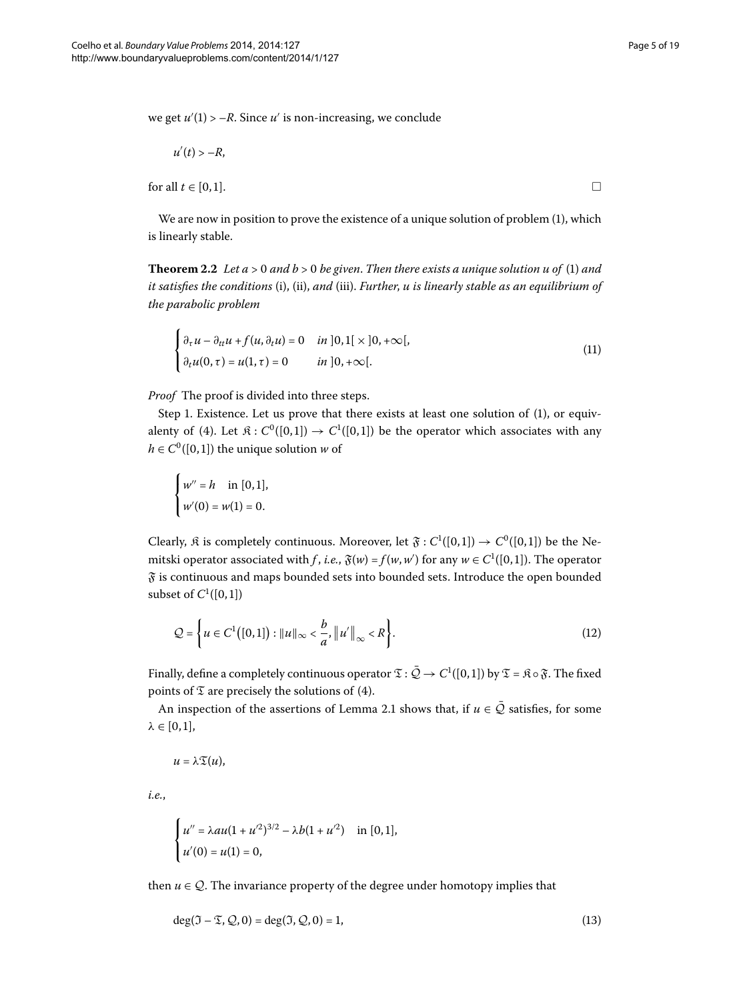we get  $u'(1)$  > –*R*. Since  $u'$  is non-increasing, we conclude

$$
u'(t) > -R,
$$

<span id="page-4-2"></span>for all  $t \in [0, 1]$ .

<span id="page-4-1"></span> $\epsilon$ 

We are now in position to prove the existence of a unique solution of problem [\(](#page-0-2)1), which is linearly stable.

**Theorem 2.2** Let  $a > 0$  and  $b > 0$  be given. Then there exists a unique solution u of [\(](#page-0-2)1) and *it satisfies the conditions* (i), (ii), *and* (iii). *Further*, *u is linearly stable as an equilibrium of the parabolic problem*

$$
\begin{cases} \partial_{\tau}u - \partial_{tt}u + f(u, \partial_t u) = 0 & \text{in } ]0, 1[ \times ]0, +\infty[, \\ \partial_t u(0, \tau) = u(1, \tau) = 0 & \text{in } ]0, +\infty[. \end{cases}
$$
(11)

*Proof* The proof is divided into three steps.

Step 1. Existence. Let us prove that there exists at least one solution of  $(1)$  $(1)$ , or equiv-alenty of [\(](#page-1-0)4). Let  $\mathfrak{K}: C^0([0,1]) \to C^1([0,1])$  be the operator which associates with any  $h \in C^0([0, 1])$  the unique solution *w* of

$$
\begin{cases} w'' = h & \text{in } [0,1], \\ w'(0) = w(1) = 0. \end{cases}
$$

Clearly,  $\hat{\mathfrak{K}}$  is completely continuous. Moreover, let  $\mathfrak{F}: C^1([0,1]) \to C^0([0,1])$  be the Nemitski operator associated with *f* , *i.e.*,  $\mathfrak{F}(w) = f(w, w')$  for any  $w \in C^1([0, 1])$ . The operator  $\mathfrak F$  is continuous and maps bounded sets into bounded sets. Introduce the open bounded subset of  $C^1([0, 1])$ 

$$
Q = \left\{ u \in C^{1}([0,1]) : ||u||_{\infty} < \frac{b}{a}, ||u'||_{\infty} < R \right\}.
$$
 (12)

Finally, define a completely continuous operator  $\mathfrak{T} : \bar{Q} \to C^1([0,1])$  by  $\mathfrak{T} = \mathfrak{K} \circ \mathfrak{F}$ . The fixed points of  $\mathfrak T$  are precisely the solutions of (4).

An inspection of the assertions of Lemma 2[.](#page-2-1)1 shows that, if  $u \in \overline{Q}$  satisfies, for some  $\lambda \in [0, 1],$ 

 $u = \lambda \mathfrak{T}(u),$ 

*i.e.*,

<span id="page-4-0"></span>
$$
\begin{cases}\nu'' = \lambda a u (1 + u'^2)^{3/2} - \lambda b (1 + u'^2) & \text{in } [0, 1], \\
u'(0) = u(1) = 0,\n\end{cases}
$$

then  $u \in \mathcal{Q}$ . The invariance property of the degree under homotopy implies that

$$
\deg(\mathfrak{I} - \mathfrak{T}, \mathcal{Q}, 0) = \deg(\mathfrak{I}, \mathcal{Q}, 0) = 1,\tag{13}
$$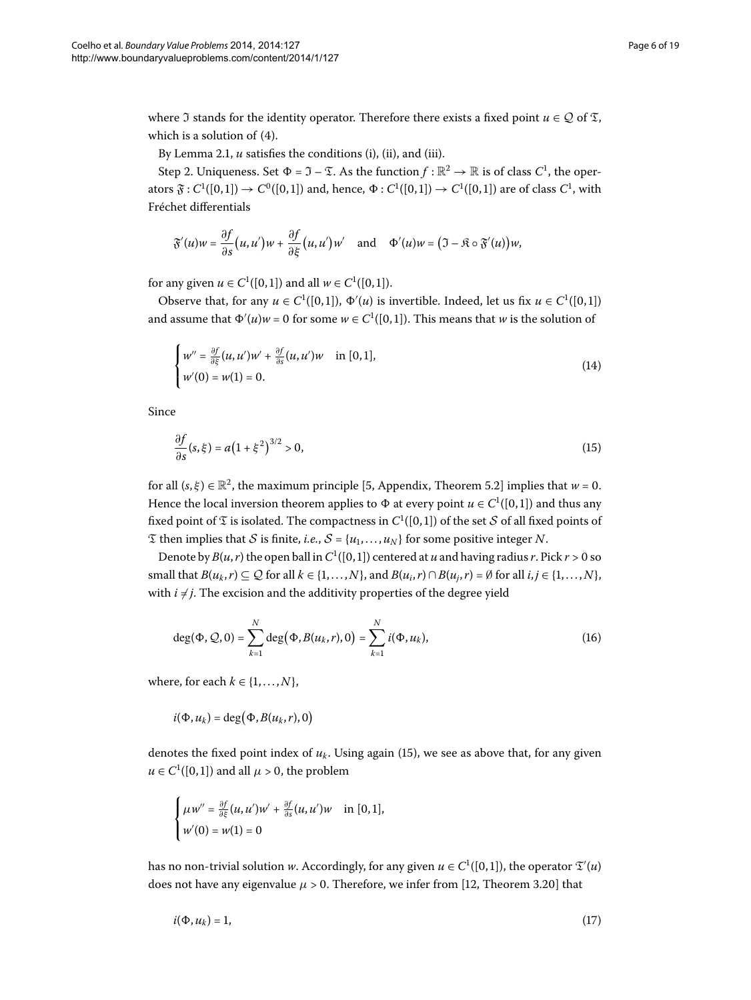where J stands for the identity operator. Therefore there exists a fixed point  $u \in \mathcal{Q}$  of  $\mathcal{I}$ , which is a solution of  $(4)$ .

By Lemma 2.1,  $u$  satisfies the conditions (i), (ii), and (iii).

Step 2. Uniqueness. Set  $\Phi = \mathfrak{I} - \mathfrak{T}$ . As the function  $f : \mathbb{R}^2 \to \mathbb{R}$  is of class  $C^1$ , the operators  $\mathfrak{F}: C^1([0,1]) \to C^0([0,1])$  and, hence,  $\Phi: C^1([0,1]) \to C^1([0,1])$  are of class  $C^1$ , with Fréchet differentials

$$
\mathfrak{F}'(u)w = \frac{\partial f}{\partial s}(u, u')w + \frac{\partial f}{\partial \xi}(u, u')w' \quad \text{and} \quad \Phi'(u)w = (\mathfrak{I} - \mathfrak{K} \circ \mathfrak{F}'(u))w,
$$

for any given  $u \in C^1([0, 1])$  and all  $w \in C^1([0, 1]).$ 

Observe that, for any  $u \in C^1([0,1])$ ,  $\Phi'(u)$  is invertible. Indeed, let us fix  $u \in C^1([0,1])$ and assume that  $\Phi'(u)w = 0$  for some  $w \in C^1([0, 1])$ . This means that *w* is the solution of

<span id="page-5-0"></span>
$$
\begin{cases} w'' = \frac{\partial f}{\partial \xi}(u, u')w' + \frac{\partial f}{\partial s}(u, u')w & \text{in } [0, 1],\\ w'(0) = w(1) = 0. \end{cases}
$$
(14)

Since

<span id="page-5-1"></span>
$$
\frac{\partial f}{\partial s}(s,\xi) = a\left(1+\xi^2\right)^{3/2} > 0,\tag{15}
$$

for all  $(s, \xi) \in \mathbb{R}^2$ , the maximum principle [\[](#page-18-5)5, Appendix, Theorem 5.2] implies that  $w = 0$ . Hence the local inversion theorem applies to  $\Phi$  at every point  $u \in C^1([0,1])$  and thus any fixed point of  $\mathfrak T$  is isolated. The compactness in  $C^1([0,1])$  of the set  $\mathcal S$  of all fixed points of  $\mathfrak T$  then implies that S is finite, *i.e.*,  $\mathcal S = \{u_1, \ldots, u_N\}$  for some positive integer N.

Denote by  $B(u,r)$  the open ball in  $C^1([0,1])$  centered at  $u$  and having radius  $r$ . Pick  $r > 0$  so small that  $B(u_k, r) \subseteq Q$  for all  $k \in \{1, ..., N\}$ , and  $B(u_i, r) \cap B(u_j, r) = \emptyset$  for all  $i, j \in \{1, ..., N\}$ , with  $i \neq j$ . The excision and the additivity properties of the degree yield

$$
\deg(\Phi, Q, 0) = \sum_{k=1}^{N} \deg(\Phi, B(u_k, r), 0) = \sum_{k=1}^{N} i(\Phi, u_k),
$$
\n(16)

where, for each  $k \in \{1, ..., N\}$ ,

$$
i(\Phi, u_k) = \deg(\Phi, B(u_k, r), 0)
$$

denotes the fixed point index of  $u_k$ . Using again (15[\)](#page-5-0), we see as above that, for any given  $u \in C^1([0, 1])$  and all  $\mu > 0$ , the problem

<span id="page-5-2"></span>
$$
\begin{cases} \mu w'' = \frac{\partial f}{\partial \xi}(u, u')w' + \frac{\partial f}{\partial s}(u, u')w & \text{in } [0, 1], \\ w'(0) = w(1) = 0 \end{cases}
$$

has no non-trivial solution *w*. Accordingly, for any given  $u \in C^1([0,1])$ , the operator  $\mathfrak{T}'(u)$ does not have any eigenvalue  $\mu > 0$ . Therefore, we infer from [\[](#page-18-11)12, Theorem 3.20] that

$$
i(\Phi, u_k) = 1,\tag{17}
$$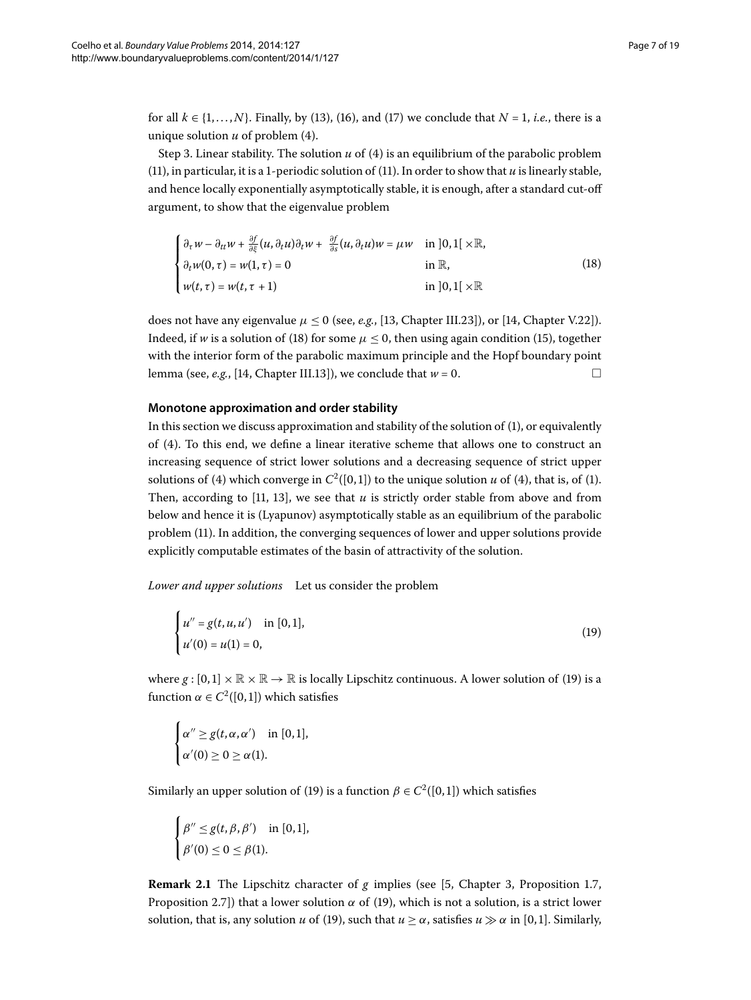for all  $k \in \{1, \ldots, N\}$ . Finally, by (13[\)](#page-4-0), [\(](#page-5-2)16), and (17) we conclude that  $N = 1$ , *i.e.*, there is a unique solution  $u$  of problem  $(4)$ .

Step 3. Linear stability. The solution  $u$  of (4[\)](#page-1-0) is an equilibrium of the parabolic problem (11[\)](#page-4-1), in particular, it is a 1-periodic solution of  $(11)$ . In order to show that  $u$  is linearly stable, and hence locally exponentially asymptotically stable, it is enough, after a standard cut-off argument, to show that the eigenvalue problem

<span id="page-6-0"></span>
$$
\begin{cases} \partial_{\tau} w - \partial_{tt} w + \frac{\partial f}{\partial \xi} (u, \partial_t u) \partial_t w + \frac{\partial f}{\partial s} (u, \partial_t u) w = \mu w & \text{in } ]0, 1[ \times \mathbb{R}, \\ \partial_t w(0, \tau) = w(1, \tau) = 0 & \text{in } \mathbb{R}, \\ w(t, \tau) = w(t, \tau + 1) & \text{in } ]0, 1[ \times \mathbb{R} \end{cases}
$$
(18)

does not have any eigenvalue  $\mu \leq 0$  (see[,](#page-18-12) *e.g.*, [13, Chapter III.23]), or [14, Chapter V.22]). Indeed, if *w* is a solution of [\(](#page-5-0)18) for some  $\mu \leq 0$ , then using again condition (15), together with the interior form of the parabolic maximum principle and the Hopf boundary point lemma (see[,](#page-18-13) *e.g.*, [14, Chapter III.13]), we conclude that  $w = 0$ .

## **Monotone approximation and order stability**

In this section we discuss approximation and stability of the solution of  $(1)$ , or equivalently of (4). To this end, we define a linear iterative scheme that allows one to construct an increasing sequence of strict lower solutions and a decreasing sequence of strict upper solutions of [\(](#page-1-0)4[\)](#page-0-2) which converge in  $C^2([0,1])$  to the unique solution *u* of (4), that is, of (1). Then, according to  $[11, 13]$  $[11, 13]$  $[11, 13]$ , we see that  $u$  is strictly order stable from above and from below and hence it is (Lyapunov) asymptotically stable as an equilibrium of the parabolic problem (11). In addition, the converging sequences of lower and upper solutions provide explicitly computable estimates of the basin of attractivity of the solution.

*Lower and upper solutions* Let us consider the problem

<span id="page-6-1"></span>
$$
\begin{cases}\n u'' = g(t, u, u') & \text{in } [0, 1], \\
 u'(0) = u(1) = 0,\n\end{cases}
$$
\n(19)

where  $g : [0,1] \times \mathbb{R} \times \mathbb{R} \to \mathbb{R}$  is locally Lipschitz continuous. A lower solution of [\(](#page-6-1)19) is a function  $\alpha \in C^2([0,1])$  which satisfies

$$
\begin{cases}\n\alpha'' \ge g(t, \alpha, \alpha') & \text{in } [0,1], \\
\alpha'(0) \ge 0 \ge \alpha(1).\n\end{cases}
$$

Similarly an upper solution of [\(](#page-6-1)19) is a function  $β ∈ C<sup>2</sup>([0, 1])$  which satisfies

$$
\begin{cases}\n\beta'' \leq g(t, \beta, \beta') & \text{in } [0,1], \\
\beta'(0) \leq 0 \leq \beta(1).\n\end{cases}
$$

**Remark 2.1** The Lipschitz character of  $g$  implies (see [5, Chapter 3, Proposition 1.7, Proposition 2.7[\)](#page-6-1) that a lower solution  $\alpha$  of (19), which is not a solution, is a strict lower solution, that is, any solution *u* of [\(](#page-6-1)19), such that  $u \ge \alpha$ , satisfies  $u \gg \alpha$  in [0,1]. Similarly,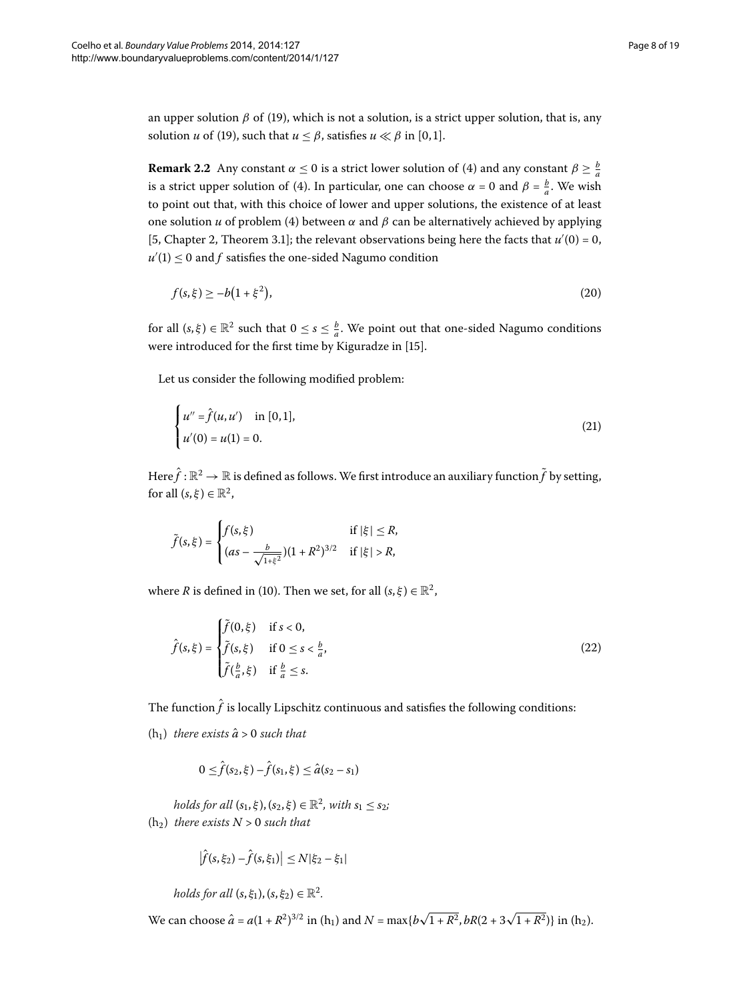an upper solution  $\beta$  of [\(](#page-6-1)19), which is not a solution, is a strict upper solution, that is, any solution *u* of [\(](#page-6-1)19), such that  $u \leq \beta$ , satisfies  $u \ll \beta$  in [0,1].

**Remark 2.2** Any constant  $\alpha \le 0$  is a strict lower solution of (4) and any constant  $\beta \ge \frac{b}{a}$ is a strict upper solution of (4). In particular, one can choose  $\alpha = 0$  and  $\beta = \frac{b}{a}$ . We wish to point out that, with this choice of lower and upper solutions, the existence of at least one solution *u* of problem (4) between  $\alpha$  and  $\beta$  can be alternatively achieved by applying [5[,](#page-18-5) Chapter 2, Theorem 3.1]; the relevant observations being here the facts that  $u'(0) = 0$ ,  $u'(1) \leq 0$  and *f* satisfies the one-sided Nagumo condition

<span id="page-7-0"></span>
$$
f(s,\xi) \ge -b(1+\xi^2),
$$
\n(20)

for all  $(s, \xi) \in \mathbb{R}^2$  such that  $0 \le s \le \frac{b}{a}$ . We point out that one-sided Nagumo conditions were introduced for the first time by Kiguradze in [\[](#page-18-14)15].

Let us consider the following modified problem:

$$
\begin{cases}\n u'' = \hat{f}(u, u') & \text{in } [0, 1], \\
 u'(0) = u(1) = 0.\n\end{cases}
$$
\n(21)

Here  $\hat{f}$ :  $\mathbb{R}^2 \to \mathbb{R}$  is defined as follows. We first introduce an auxiliary function  $\tilde{f}$  by setting, for all  $(s, \xi) \in \mathbb{R}^2$ ,

$$
\tilde{f}(s,\xi) = \begin{cases} f(s,\xi) & \text{if } |\xi| \le R, \\ (as - \frac{b}{\sqrt{1+\xi^2}})(1+R^2)^{3/2} & \text{if } |\xi| > R, \end{cases}
$$

where *R* is defined in (10). Then we set, for all  $(s, \xi) \in \mathbb{R}^2$ ,

$$
\hat{f}(s,\xi) = \begin{cases}\n\tilde{f}(0,\xi) & \text{if } s < 0, \\
\tilde{f}(s,\xi) & \text{if } 0 \le s < \frac{b}{a}, \\
\tilde{f}(\frac{b}{a},\xi) & \text{if } \frac{b}{a} \le s.\n\end{cases} \tag{22}
$$

The function  $\hat{f}$  is locally Lipschitz continuous and satisfies the following conditions:

(h<sub>1</sub>) *there exists*  $\hat{a} > 0$  *such that* 

$$
0 \leq \hat{f}(s_2, \xi) - \hat{f}(s_1, \xi) \leq \hat{a}(s_2 - s_1)
$$

*holds for all*  $(s_1, \xi), (s_2, \xi) \in \mathbb{R}^2$ , with  $s_1 \leq s_2$ ;  $(h<sub>2</sub>)$  *there exists*  $N > 0$  *such that* 

$$
\left|\hat{f}(s,\xi_2) - \hat{f}(s,\xi_1)\right| \le N|\xi_2 - \xi_1|
$$

*holds for all*  $(s, \xi_1), (s, \xi_2) \in \mathbb{R}^2$ .

We can choose  $\hat{a} = a(1 + R^2)^{3/2}$  in (h<sub>1</sub>) and  $N = \max\{b\sqrt{1 + R^2}, bR(2 + 3\sqrt{1 + R^2})\}$  in (h<sub>2</sub>).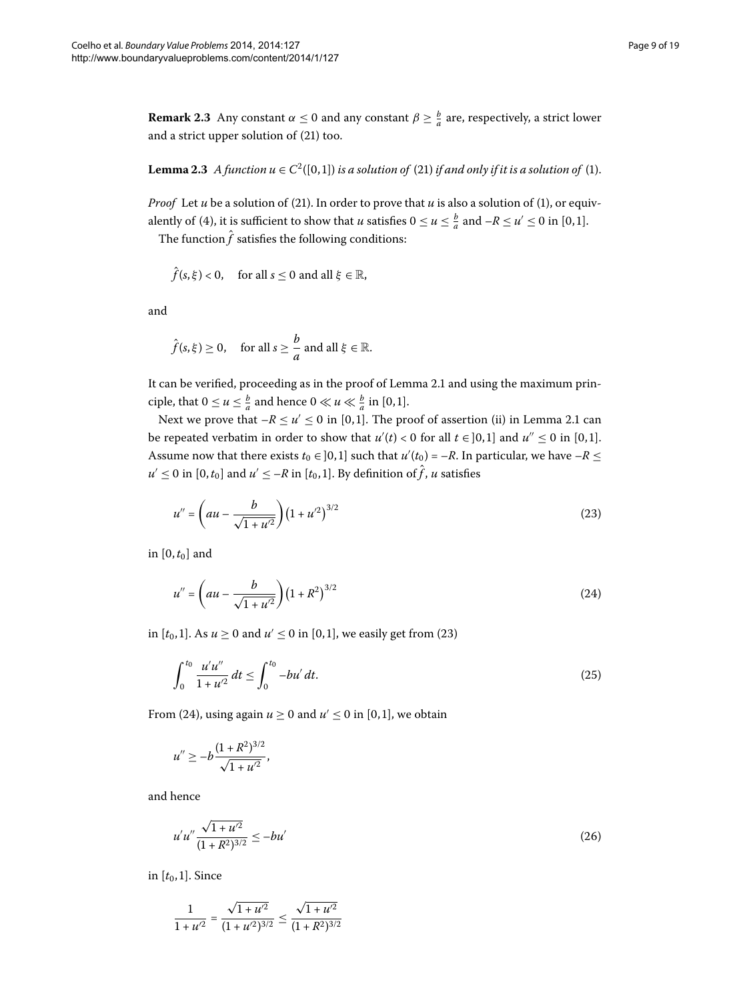<span id="page-8-4"></span>**Remark 2.3** Any constant  $\alpha \le 0$  and any constant  $\beta \ge \frac{b}{a}$  are, respectively, a strict lower and a strict upper solution of  $(21)$  too.

**Lemma 2.3** A function  $u \in C^2([0,1])$  $u \in C^2([0,1])$  *is a solution of* (21) *if and only if it is a solution of* (1).

*Proof* Let *u* be a solution of [\(](#page-7-0)21). In order to prove that *u* is also a solution of (1), or equiv-alently of [\(](#page-1-0)4), it is sufficient to show that *u* satisfies  $0 \le u \le \frac{b}{a}$  and  $-R \le u' \le 0$  in [0,1].

The function  $\hat{f}$  satisfies the following conditions:

$$
\hat{f}(s,\xi) < 0
$$
, for all  $s \le 0$  and all  $\xi \in \mathbb{R}$ ,

and

<span id="page-8-0"></span>
$$
\hat{f}(s,\xi) \ge 0
$$
, for all  $s \ge \frac{b}{a}$  and all  $\xi \in \mathbb{R}$ .

It can be verified, proceeding as in the proof of Lemma 2[.](#page-2-1)1 and using the maximum principle, that  $0 \le u \le \frac{b}{a}$  and hence  $0 \ll u \ll \frac{b}{a}$  in [0,1].

Next we prove that  $-R \le u' \le 0$  in [0,1][.](#page-2-1) The proof of assertion (ii) in Lemma 2.1 can be repeated verbatim in order to show that  $u'(t) < 0$  for all  $t \in ]0,1]$  and  $u'' \le 0$  in [0,1]. Assume now that there exists  $t_0 \in ]0,1]$  such that  $u'(t_0) = -R$ . In particular, we have  $-R \leq$  $u' \le 0$  in  $[0, t_0]$  and  $u' \le -R$  in  $[t_0, 1]$ . By definition of  $f$ ,  $u$  satisfies

<span id="page-8-1"></span>
$$
u'' = \left(au - \frac{b}{\sqrt{1 + u'^2}}\right) \left(1 + u'^2\right)^{3/2} \tag{23}
$$

in  $[0, t_0]$  and

<span id="page-8-3"></span>
$$
u'' = \left(au - \frac{b}{\sqrt{1 + u'^2}}\right) \left(1 + R^2\right)^{3/2} \tag{24}
$$

in  $[t_0, 1]$ . As  $u \ge 0$  and  $u' \le 0$  in  $[0, 1]$ , we easily get from (23)

$$
\int_0^{t_0} \frac{u'u''}{1+u'^2} dt \le \int_0^{t_0} -bu' dt.
$$
\n(25)

From [\(](#page-8-1)24), using again  $u \ge 0$  and  $u' \le 0$  in [0,1], we obtain

<span id="page-8-2"></span>
$$
u'' \ge -b \frac{(1+R^2)^{3/2}}{\sqrt{1+u'^2}},
$$

and hence

$$
u'u'' \frac{\sqrt{1+u'^2}}{(1+R^2)^{3/2}} \le -bu'
$$
\n(26)

in  $[t_0, 1]$ . Since

$$
\frac{1}{1+u'^2}=\frac{\sqrt{1+u'^2}}{(1+u'^2)^{3/2}}\leq \frac{\sqrt{1+u'^2}}{(1+R^2)^{3/2}}
$$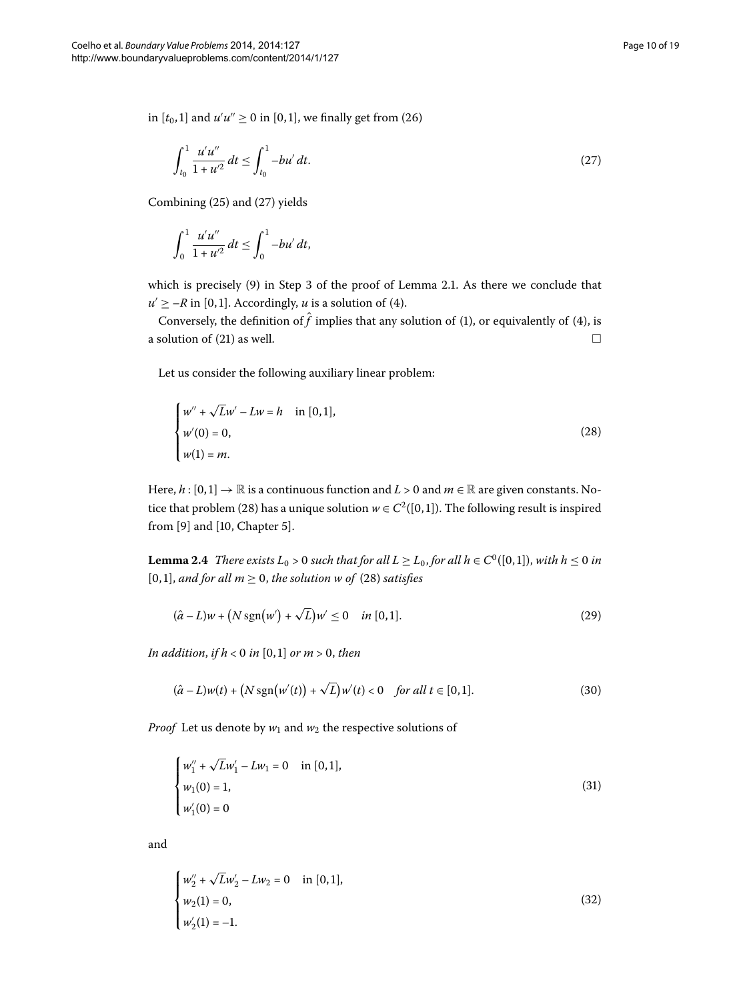in  $[t_0, 1]$  and  $u'u'' \ge 0$  in  $[0, 1]$ , we finally get from  $(26)$ 

<span id="page-9-0"></span>
$$
\int_{t_0}^1 \frac{u'u''}{1+u'^2} dt \le \int_{t_0}^1 -bu' dt.
$$
\n(27)

Combining  $(25)$  $(25)$  and  $(27)$  yields

$$
\int_0^1 \frac{u'u''}{1+u'^2} dt \le \int_0^1 -bu' dt,
$$

which is precisely  $(9)$  $(9)$  in Step 3 of the proof of Lemma 2.1. As there we conclude that  $u' \geq -R$  in [0,1]. Accordingly, *u* is a solution of (4).

Conversely, the definition of  $\hat{f}$  implies that any solution of (1[\)](#page-1-0), or equivalently of (4), is a solution of [\(](#page-7-0)21) as well.  $\Box$ 

Let us consider the following auxiliary linear problem:

<span id="page-9-2"></span><span id="page-9-1"></span>
$$
\begin{cases}\nw'' + \sqrt{L}w' - Lw = h & \text{in } [0,1], \\
w'(0) = 0, & \\
w(1) = m.\n\end{cases}
$$
\n(28)

<span id="page-9-4"></span>Here,  $h : [0, 1] \to \mathbb{R}$  is a continuous function and  $L > 0$  and  $m \in \mathbb{R}$  are given constants. No-tice that problem (28[\)](#page-9-1) has a unique solution  $w \in C^2([0, 1])$ . The following result is inspired from  $[9]$  $[9]$  and  $[10,$  Chapter 5].

**Lemma 2.4** There exists  $L_0 > 0$  such that for all  $L \ge L_0$ , for all  $h \in C^0([0,1])$ , with  $h \le 0$  in  $[0, 1]$ *, and for all m*  $\geq$  0*, the solution w of* (28[\)](#page-9-1) *satisfies* 

<span id="page-9-3"></span>
$$
(\hat{a} - L)w + (N \operatorname{sgn}(w') + \sqrt{L})w' \le 0 \quad \text{in } [0,1].
$$
\n(29)

*In addition, if*  $h < 0$  *in*  $[0,1]$  *or m*  $> 0$ *, then* 

$$
(\hat{a} - L)w(t) + (N \text{sgn}(w'(t)) + \sqrt{L})w'(t) < 0 \quad \text{for all } t \in [0, 1].
$$
 (30)

*Proof* Let us denote by  $w_1$  and  $w_2$  the respective solutions of

$$
\begin{cases}\nw_1'' + \sqrt{L}w_1' - Lw_1 = 0 & \text{in } [0,1], \\
w_1(0) = 1, & \\
w_1'(0) = 0 &\n\end{cases}
$$
\n(31)

and

$$
\begin{cases}\nw_2'' + \sqrt{L}w_2' - Lw_2 = 0 & \text{in } [0,1], \\
w_2(1) = 0, & \\
w_2'(1) = -1.\n\end{cases}
$$
\n(32)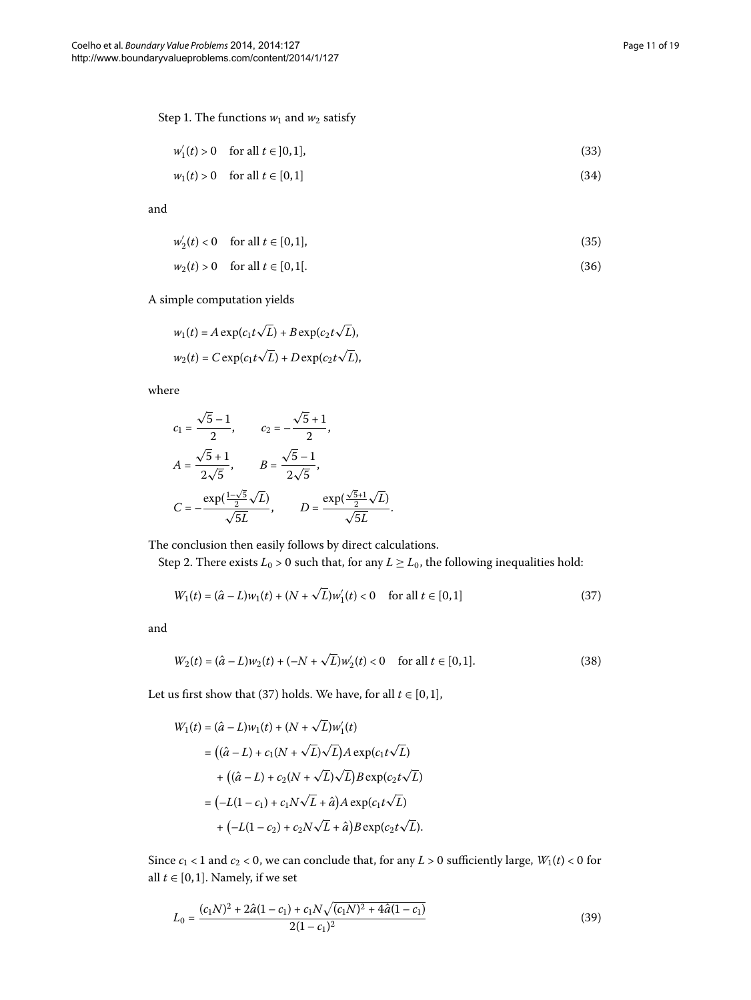$$
w_1'(t) > 0 \quad \text{for all } t \in ]0,1],
$$
 (33)

$$
w_1(t) > 0 \quad \text{for all } t \in [0, 1] \tag{34}
$$

and

$$
w_2'(t) < 0 \quad \text{for all } t \in [0, 1],\tag{35}
$$

$$
w_2(t) > 0 \quad \text{for all } t \in [0, 1]. \tag{36}
$$

A simple computation yields

$$
w_1(t) = A \exp(c_1 t \sqrt{L}) + B \exp(c_2 t \sqrt{L}),
$$
  

$$
w_2(t) = C \exp(c_1 t \sqrt{L}) + D \exp(c_2 t \sqrt{L}),
$$

where

<span id="page-10-0"></span>
$$
c_1 = \frac{\sqrt{5} - 1}{2}, \qquad c_2 = -\frac{\sqrt{5} + 1}{2},
$$
  
\n
$$
A = \frac{\sqrt{5} + 1}{2\sqrt{5}}, \qquad B = \frac{\sqrt{5} - 1}{2\sqrt{5}},
$$
  
\n
$$
C = -\frac{\exp(\frac{1 - \sqrt{5}}{2}\sqrt{L})}{\sqrt{5L}}, \qquad D = \frac{\exp(\frac{\sqrt{5} + 1}{2}\sqrt{L})}{\sqrt{5L}}.
$$

The conclusion then easily follows by direct calculations.

Step 2. There exists  $L_0 > 0$  such that, for any  $L \ge L_0$ , the following inequalities hold:

<span id="page-10-1"></span>
$$
W_1(t) = (\hat{a} - L)w_1(t) + (N + \sqrt{L})w_1'(t) < 0 \quad \text{for all } t \in [0, 1]
$$
\n(37)

and

$$
W_2(t) = (\hat{a} - L)w_2(t) + (-N + \sqrt{L})w_2'(t) < 0 \quad \text{for all } t \in [0, 1].
$$
 (38)

Let us first show that [\(](#page-10-0)37) holds. We have, for all  $t \in [0, 1]$ ,

<span id="page-10-2"></span>
$$
W_1(t) = (\hat{a} - L)w_1(t) + (N + \sqrt{L})w'_1(t)
$$
  
= ((\hat{a} - L) + c\_1(N + \sqrt{L})\sqrt{L})A exp(c\_1t\sqrt{L})  
+ ((\hat{a} - L) + c\_2(N + \sqrt{L})\sqrt{L})B exp(c\_2t\sqrt{L})  
= (-L(1 - c\_1) + c\_1N\sqrt{L} + \hat{a})A exp(c\_1t\sqrt{L})  
+ (-L(1 - c\_2) + c\_2N\sqrt{L} + \hat{a})B exp(c\_2t\sqrt{L}).

Since  $c_1$  < 1 and  $c_2$  < 0, we can conclude that, for any  $L > 0$  sufficiently large,  $W_1(t) < 0$  for all  $t \in [0, 1]$ . Namely, if we set

$$
L_0 = \frac{(c_1 N)^2 + 2\hat{a}(1 - c_1) + c_1 N \sqrt{(c_1 N)^2 + 4\hat{a}(1 - c_1)}}{2(1 - c_1)^2}
$$
(39)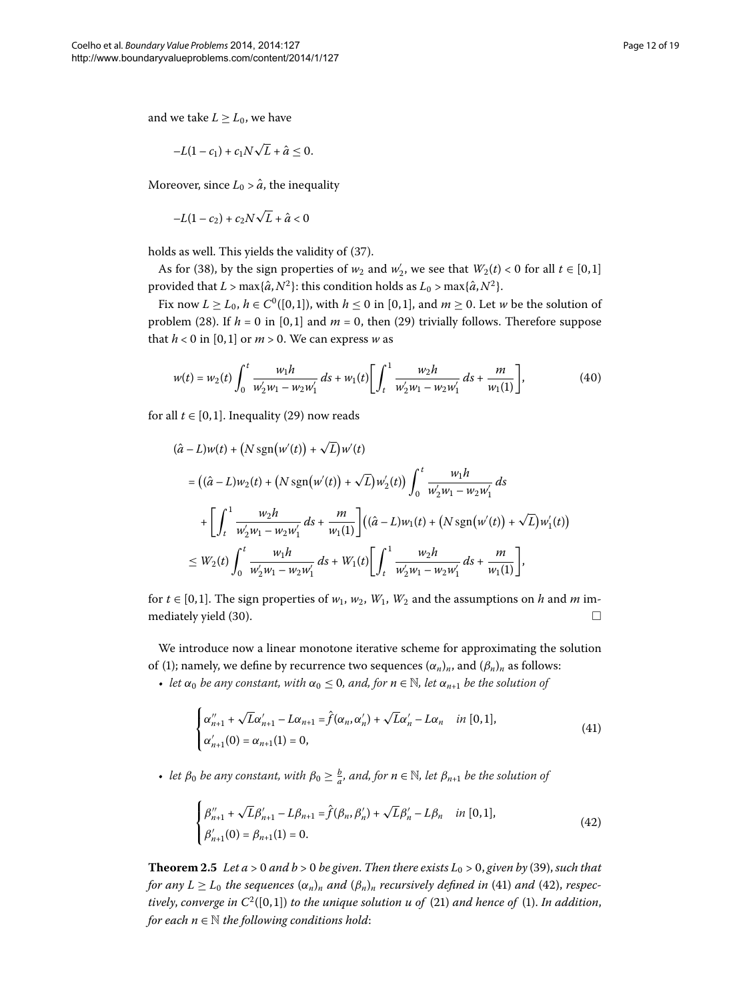$$
-L(1-c_1)+c_1N\sqrt{L}+\hat{a}\leq 0.
$$

Moreover, since  $L_0 > \hat{a}$ , the inequality

$$
-L(1-c_2)+c_2N\sqrt{L}+\hat{a}<0
$$

holds as well. This yields the validity of [\(](#page-10-0)37).

As for (38), by the sign properties of  $w_2$  and  $w'_2$ , we see that  $W_2(t) < 0$  for all  $t \in [0,1]$ provided that  $L > \max{\{\hat{a}, N^2\}}$ : this condition holds as  $L_0 > \max{\{\hat{a}, N^2\}}$ .

Fix now  $L \ge L_0$ ,  $h \in C^0([0,1])$ , with  $h \le 0$  in [0,1], and  $m \ge 0$ . Let w be the solution of problem [\(](#page-9-2)28). If  $h = 0$  in [0,1] and  $m = 0$ , then (29) trivially follows. Therefore suppose that  $h < 0$  in [0,1] or  $m > 0$ . We can express  $w$  as

$$
w(t) = w_2(t) \int_0^t \frac{w_1 h}{w_2' w_1 - w_2 w_1'} ds + w_1(t) \left[ \int_t^1 \frac{w_2 h}{w_2' w_1 - w_2 w_1'} ds + \frac{m}{w_1(1)} \right],
$$
 (40)

for all  $t \in [0, 1]$ . Inequality [\(](#page-9-2)29) now reads

$$
(\hat{a} - L)w(t) + (N \operatorname{sgn}(w'(t)) + \sqrt{L})w'(t)
$$
  
\n
$$
= ((\hat{a} - L)w_2(t) + (N \operatorname{sgn}(w'(t)) + \sqrt{L})w'_2(t)) \int_0^t \frac{w_1 h}{w'_2 w_1 - w_2 w'_1} ds
$$
  
\n
$$
+ \left[ \int_t^1 \frac{w_2 h}{w'_2 w_1 - w_2 w'_1} ds + \frac{m}{w_1(1)} \right] ((\hat{a} - L)w_1(t) + (N \operatorname{sgn}(w'(t)) + \sqrt{L})w'_1(t))
$$
  
\n
$$
\leq W_2(t) \int_0^t \frac{w_1 h}{w'_2 w_1 - w_2 w'_1} ds + W_1(t) \left[ \int_t^1 \frac{w_2 h}{w'_2 w_1 - w_2 w'_1} ds + \frac{m}{w_1(1)} \right],
$$

for  $t \in [0,1]$ . The sign properties of  $w_1$ ,  $w_2$ ,  $W_1$ ,  $W_2$  and the assumptions on *h* and *m* immediately yield (30).  $\Box$ 

We introduce now a linear monotone iterative scheme for approximating the solution of (1[\)](#page-0-2); namely, we define by recurrence two sequences  $(\alpha_n)_n$ , and  $(\beta_n)_n$  as follows:

• *let*  $\alpha_0$  *be any constant, with*  $\alpha_0 \leq 0$ *, and, for*  $n \in \mathbb{N}$ *, let*  $\alpha_{n+1}$  *be the solution of* 

<span id="page-11-1"></span><span id="page-11-0"></span>
$$
\begin{cases} \alpha''_{n+1} + \sqrt{L}\alpha'_{n+1} - L\alpha_{n+1} = \hat{f}(\alpha_n, \alpha'_n) + \sqrt{L}\alpha'_n - L\alpha_n & \text{in } [0,1],\\ \alpha'_{n+1}(0) = \alpha_{n+1}(1) = 0, \end{cases}
$$
(41)

<span id="page-11-2"></span>• *let*  $\beta_0$  *be any constant, with*  $\beta_0 \geq \frac{b}{a}$ *, and, for*  $n \in \mathbb{N}$ *, let*  $\beta_{n+1}$  *be the solution of* 

$$
\begin{cases}\n\beta''_{n+1} + \sqrt{L}\beta'_{n+1} - L\beta_{n+1} = \hat{f}(\beta_n, \beta'_n) + \sqrt{L}\beta'_n - L\beta_n & \text{in } [0,1], \\
\beta'_{n+1}(0) = \beta_{n+1}(1) = 0.\n\end{cases}
$$
\n(42)

**Theorem 2.5** Let a > 0 and b > 0 be given. Then there exists  $L_0$  > 0, given by [\(](#page-10-2)39), such that *for any*  $L \ge L_0$  *the sequences*  $(\alpha_n)_n$  $(\alpha_n)_n$  $(\alpha_n)_n$  *and*  $(\beta_n)_n$  *recursively defined in* (41) *and* (42), *respectively, converge in*  $C^2([0, 1])$  $C^2([0, 1])$  $C^2([0, 1])$  *to the unique solution u of* (21) *and hence of* (1). In addition, *for each n* <sup>∈</sup> <sup>N</sup> *the following conditions hold*: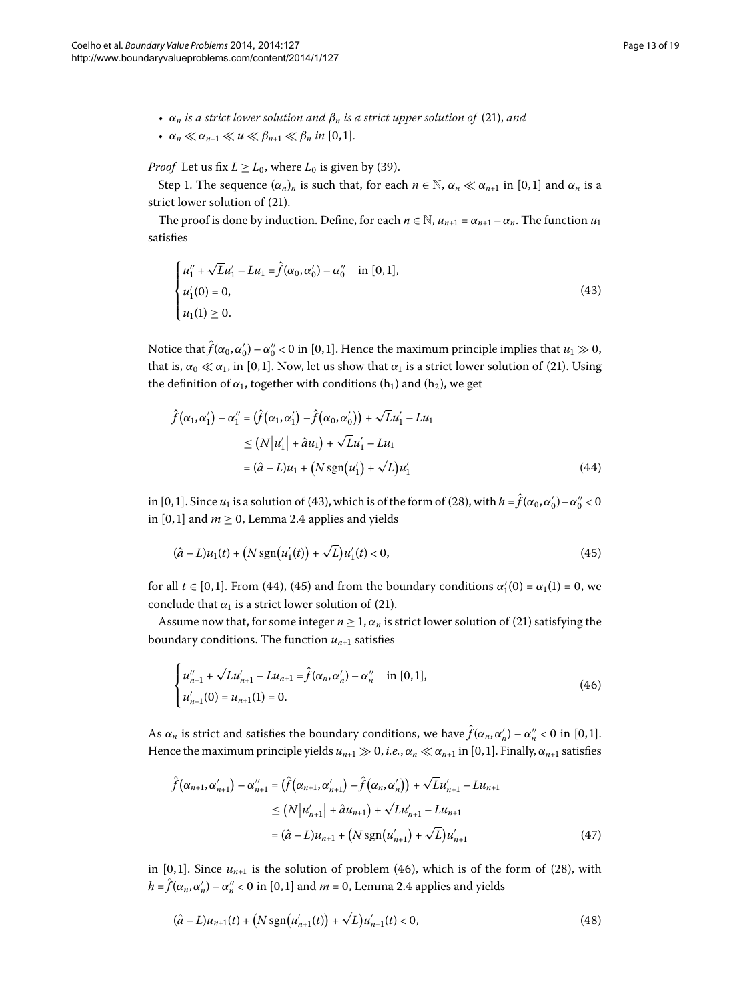•  $\alpha_n$  *is a strict lower solution and*  $\beta_n$  *is a strict upper solution of* [\(](#page-7-0)21), *and* 

•  $\alpha_n \ll \alpha_{n+1} \ll u \ll \beta_{n+1} \ll \beta_n$  in [0,1].

*Proof* Let us fix  $L \ge L_0$ , where  $L_0$  is given by [\(](#page-10-2)39).

Step 1. The sequence  $(\alpha_n)_n$  is such that, for each  $n \in \mathbb{N}$ ,  $\alpha_n \ll \alpha_{n+1}$  in [0,1] and  $\alpha_n$  is a strict lower solution of  $(21)$ .

The proof is done by induction. Define, for each  $n \in \mathbb{N}$ ,  $u_{n+1} = \alpha_{n+1} - \alpha_n$ . The function  $u_1$ satisfies

<span id="page-12-0"></span>
$$
\begin{cases}\nu_1'' + \sqrt{L}u_1' - Lu_1 = \hat{f}(\alpha_0, \alpha_0') - \alpha_0'' & \text{in } [0, 1], \\
u_1'(0) = 0, \\
u_1(1) \ge 0.\n\end{cases}
$$
\n(43)

Notice that  $f(\alpha_0, \alpha'_0) - \alpha''_0 < 0$  in [0,1]. Hence the maximum principle implies that  $u_1 \gg 0$ , that is,  $\alpha_0 \ll \alpha_1$ , in [0,1]. Now, let us show that  $\alpha_1$  is a strict lower solution of (21[\)](#page-7-0). Using the definition of  $\alpha_1$ , together with conditions (h<sub>1</sub>) and (h<sub>2</sub>), we get

<span id="page-12-2"></span><span id="page-12-1"></span>
$$
\hat{f}(\alpha_1, \alpha'_1) - \alpha''_1 = (\hat{f}(\alpha_1, \alpha'_1) - \hat{f}(\alpha_0, \alpha'_0)) + \sqrt{L}u'_1 - Lu_1
$$
  
\n
$$
\leq (N|u'_1| + \hat{a}u_1) + \sqrt{L}u'_1 - Lu_1
$$
  
\n
$$
= (\hat{a} - L)u_1 + (N \operatorname{sgn}(u'_1) + \sqrt{L})u'_1
$$
\n(44)

in [0, 1]. Since  $u_1$  is a solution of (43), which is of the form of (28), with  $h = f(\alpha_0, \alpha'_0) - \alpha''_0 < 0$ in [0,1] and  $m \ge 0$ , Lemma 2[.](#page-9-4)4 applies and yields

<span id="page-12-3"></span>
$$
(\hat{a} - L)u_1(t) + (N \operatorname{sgn}(u_1'(t)) + \sqrt{L})u_1'(t) < 0,\tag{45}
$$

for all  $t \in [0, 1]$ . From [\(](#page-12-1)44[\)](#page-12-2), (45) and from the boundary conditions  $\alpha'_1(0) = \alpha_1(1) = 0$ , we conclude that  $\alpha_1$  is a strict lower solution of (21).

Assume now that, for some integer  $n \geq 1$ ,  $\alpha_n$  is strict lower solution of (21[\)](#page-7-0) satisfying the boundary conditions. The function  $u_{n+1}$  satisfies

<span id="page-12-4"></span>
$$
\begin{cases}\nu_{n+1}'' + \sqrt{L}u_{n+1}' - Lu_{n+1} = \hat{f}(\alpha_n, \alpha_n') - \alpha_n'' & \text{in } [0,1],\\ \nu_{n+1}'(0) = u_{n+1}(1) = 0.\end{cases}
$$
\n(46)

As  $\alpha_n$  is strict and satisfies the boundary conditions, we have  $f(\alpha_n, \alpha'_n) - \alpha''_n < 0$  in [0,1]. Hence the maximum principle yields  $u_{n+1} \gg 0$ , *i.e.*,  $\alpha_n \ll \alpha_{n+1}$  in [0,1]. Finally,  $\alpha_{n+1}$  satisfies

<span id="page-12-5"></span>
$$
\hat{f}(\alpha_{n+1}, \alpha'_{n+1}) - \alpha''_{n+1} = (\hat{f}(\alpha_{n+1}, \alpha'_{n+1}) - \hat{f}(\alpha_n, \alpha'_n)) + \sqrt{L}u'_{n+1} - L u_{n+1}
$$
\n
$$
\leq (N|u'_{n+1}| + \hat{a}u_{n+1}) + \sqrt{L}u'_{n+1} - L u_{n+1}
$$
\n
$$
= (\hat{a} - L)u_{n+1} + (N \operatorname{sgn}(u'_{n+1}) + \sqrt{L})u'_{n+1}
$$
\n(47)

in [0,1]. Since  $u_{n+1}$  is the solution of problem [\(](#page-9-1)46), which is of the form of (28), with  $h = f(\alpha_n, \alpha'_n) - \alpha''_n < 0$  in [0,1] and  $m = 0$ , Lemma 2[.](#page-9-4)4 applies and yields

$$
(\hat{a} - L)u_{n+1}(t) + \left(N \operatorname{sgn}(u'_{n+1}(t)) + \sqrt{L}\right)u'_{n+1}(t) < 0,\tag{48}
$$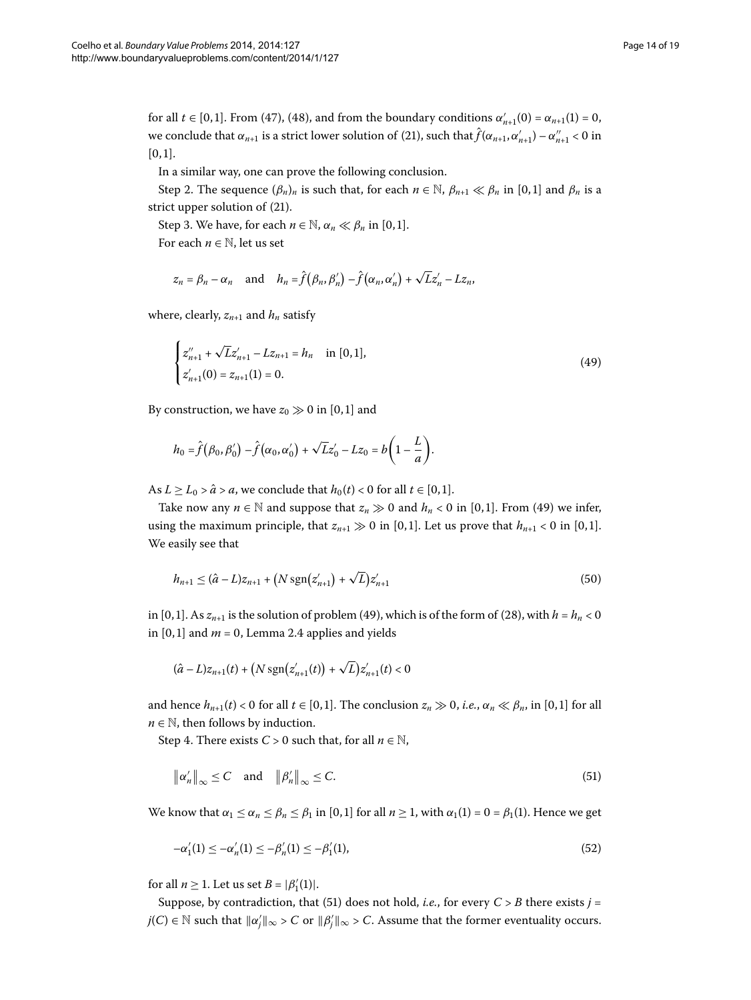for all  $t \in [0,1]$ . From [\(](#page-12-4)47), (48), and from the boundary conditions  $\alpha'_{n+1}(0) = \alpha_{n+1}(1) = 0$ , we conclude that  $\alpha_{n+1}$  is a strict lower solution of (21), such that  $f(\alpha_{n+1}, \alpha_{n+1}') - \alpha_{n+1}'' < 0$  in  $[0, 1].$ 

In a similar way, one can prove the following conclusion.

Step 2. The sequence  $(\beta_n)_n$  is such that, for each  $n \in \mathbb{N}$ ,  $\beta_{n+1} \ll \beta_n$  in [0,1] and  $\beta_n$  is a strict upper solution of [\(](#page-7-0)21).

Step 3. We have, for each  $n \in \mathbb{N}$ ,  $\alpha_n \ll \beta_n$  in [0,1]. For each  $n \in \mathbb{N}$ , let us set

<span id="page-13-0"></span>
$$
z_n = \beta_n - \alpha_n
$$
 and  $h_n = \hat{f}(\beta_n, \beta'_n) - \hat{f}(\alpha_n, \alpha'_n) + \sqrt{L}z'_n - Lz_n$ 

where, clearly,  $z_{n+1}$  and  $h_n$  satisfy

$$
\begin{cases} z''_{n+1} + \sqrt{L}z'_{n+1} - Lz_{n+1} = h_n & \text{in } [0,1],\\ z'_{n+1}(0) = z_{n+1}(1) = 0. \end{cases}
$$
(49)

By construction, we have  $z_0 \gg 0$  in [0,1] and

$$
h_0 = \hat{f}(\beta_0, \beta'_0) - \hat{f}(\alpha_0, \alpha'_0) + \sqrt{L}z'_0 - Lz_0 = b\left(1 - \frac{L}{a}\right).
$$

As  $L \ge L_0 > \hat{a} > a$ , we conclude that  $h_0(t) < 0$  for all  $t \in [0, 1]$ .

Take now any  $n \in \mathbb{N}$  and suppose that  $z_n \gg 0$  and  $h_n < 0$  in [0,1]. From (49) we infer, using the maximum principle, that  $z_{n+1} \gg 0$  in [0,1]. Let us prove that  $h_{n+1} < 0$  in [0,1]. We easily see that

$$
h_{n+1} \leq (\hat{a} - L)z_{n+1} + (N \operatorname{sgn}(z'_{n+1}) + \sqrt{L})z'_{n+1}
$$
\n(50)

in [0, 1]. As  $z_{n+1}$  is the solution of problem (49[\)](#page-9-1), which is of the form of (28), with  $h = h_n < 0$ in  $[0, 1]$  and  $m = 0$ , Lemma 2[.](#page-9-4)4 applies and yields

<span id="page-13-1"></span>
$$
(\hat{a}-L)z_{n+1}(t)+\big(N\, \text{sgn}\big(z_{n+1}^\prime(t)\big)+\sqrt{L}\big)z_{n+1}^\prime(t)<0
$$

and hence  $h_{n+1}(t) < 0$  for all  $t \in [0, 1]$ . The conclusion  $z_n \gg 0$ , *i.e.*,  $\alpha_n \ll \beta_n$ , in [0,1] for all  $n \in \mathbb{N}$ , then follows by induction.

Step 4. There exists *C* > 0 such that, for all  $n \in \mathbb{N}$ ,

$$
\|\alpha_n'\|_{\infty} \le C \quad \text{and} \quad \|\beta_n'\|_{\infty} \le C. \tag{51}
$$

We know that  $\alpha_1 \leq \alpha_n \leq \beta_n \leq \beta_1$  in [0,1] for all  $n \geq 1$ , with  $\alpha_1(1) = 0 = \beta_1(1)$ . Hence we get

$$
-\alpha'_1(1) \le -\alpha'_n(1) \le -\beta'_n(1) \le -\beta'_1(1),\tag{52}
$$

for all  $n \geq 1$ . Let us set  $B = |\beta'_1(1)|$ .

Suppose, by contradiction, that [\(](#page-13-1)51) does not hold, *i.e.*, for every  $C > B$  there exists  $j =$ *j*(*C*) ∈  $\mathbb N$  such that  $||\alpha'_j||_{\infty}$  > *C* or  $||\beta'_j||_{\infty}$  > *C*. Assume that the former eventuality occurs.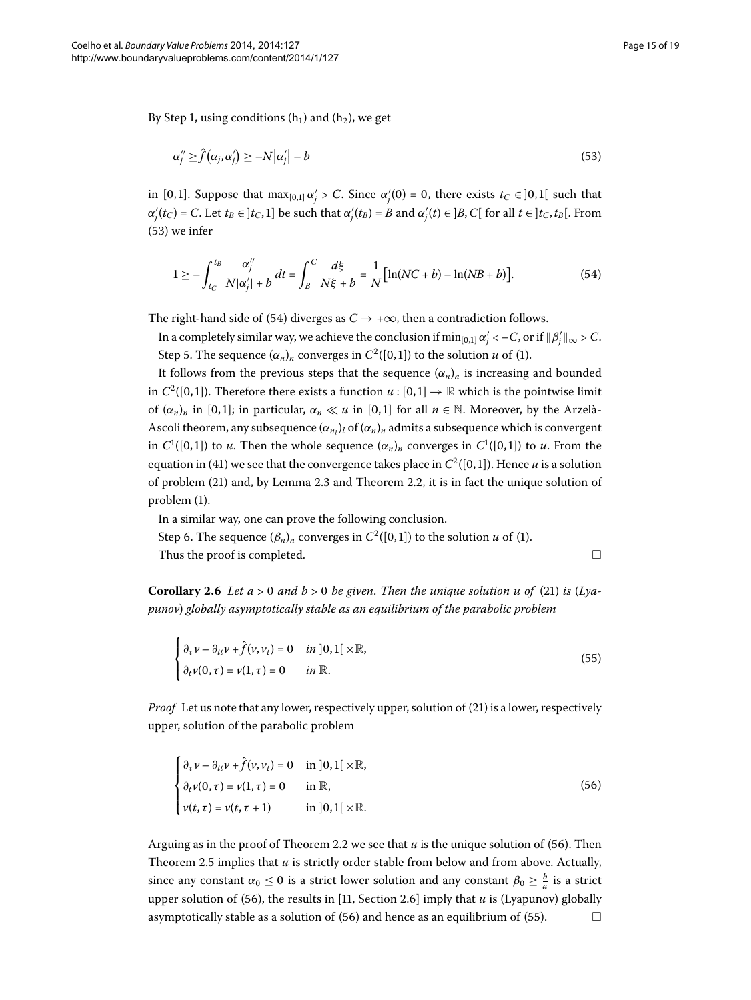By Step 1, using conditions  $(h_1)$  and  $(h_2)$ , we get

<span id="page-14-1"></span><span id="page-14-0"></span>
$$
\alpha_j'' \ge \hat{f}(\alpha_j, \alpha_j') \ge -N|\alpha_j'| - b \tag{53}
$$

in [0,1]. Suppose that  $\max_{[0,1]}\alpha'_j > C.$  Since  $\alpha'_j(0) = 0,$  there exists  $t_C \in ]0,1[$  such that  $\alpha'_j(t_C)$  = C. Let  $t_B \in$  ] $t_C, 1$ ] be such that  $\alpha'_j(t_B)$  =  $B$  and  $\alpha'_j(t) \in$  ] $B, C[$  for all  $t \in$  ] $t_C, t_B[$ . From  $(53)$  $(53)$  we infer

$$
1 \ge -\int_{t_C}^{t_B} \frac{\alpha_j''}{N|\alpha_j'| + b} dt = \int_B^C \frac{d\xi}{N\xi + b} = \frac{1}{N} \Big[ \ln(NC + b) - \ln(NB + b) \Big].
$$
 (54)

The right-hand side of (54[\)](#page-14-1) diverges as  $C \rightarrow +\infty$ , then a contradiction follows.

In a completely similar way, we achieve the conclusion if  $\min_{[0,1]} \alpha'_j < -C$ , or if  $\|\beta'_j\|_\infty$  >  $C$ . Step 5. The sequence  $(\alpha_n)_n$  $(\alpha_n)_n$  converges in  $C^2([0,1])$  to the solution *u* of (1).

It follows from the previous steps that the sequence  $(\alpha_n)_n$  is increasing and bounded in  $C^2([0,1])$ . Therefore there exists a function  $u:[0,1] \to \mathbb{R}$  which is the pointwise limit of  $(\alpha_n)_n$  in [0,1]; in particular,  $\alpha_n \ll u$  in [0,1] for all  $n \in \mathbb{N}$ . Moreover, by the Arzelà-Ascoli theorem, any subsequence  $(\alpha_{n_l})_l$  of  $(\alpha_n)_n$  admits a subsequence which is convergent in  $C^1([0,1])$  to *u*. Then the whole sequence  $(\alpha_n)_n$  converges in  $C^1([0,1])$  to *u*. From the equation in (41[\)](#page-11-0) we see that the convergence takes place in  $C^2([0, 1])$ . Hence *u* is a solution of problem  $(21)$  $(21)$  and, by Lemma 2[.](#page-4-2)3 and Theorem 2.2, it is in fact the unique solution of problem (1).

In a similar way, one can prove the following conclusion.

Step 6. The sequence  $(\beta_n)_n$  $(\beta_n)_n$  $(\beta_n)_n$  converges in  $C^2([0,1])$  to the solution *u* of (1).

Thus the proof is completed.  $\Box$ 

**Corollary 2.6** Let  $a > 0$  and  $b > 0$  be given. Then the unique solution u of [\(](#page-7-0)21) is (Lya*punov*) *globally asymptotically stable as an equilibrium of the parabolic problem*

<span id="page-14-3"></span><span id="page-14-2"></span>
$$
\begin{cases} \partial_{\tau} \nu - \partial_{tt} \nu + \hat{f}(\nu, \nu_t) = 0 & \text{in } ]0, 1[ \times \mathbb{R}, \\ \partial_t \nu(0, \tau) = \nu(1, \tau) = 0 & \text{in } \mathbb{R}. \end{cases}
$$
 (55)

*Proof* Let us note that any lower, respectively upper, solution of (21) is a lower, respectively upper, solution of the parabolic problem

$$
\begin{cases}\n\partial_{\tau} \nu - \partial_{tt} \nu + \hat{f}(\nu, \nu_t) = 0 & \text{in } ]0, 1[ \times \mathbb{R}, \\
\partial_t \nu(0, \tau) = \nu(1, \tau) = 0 & \text{in } \mathbb{R}, \\
\nu(t, \tau) = \nu(t, \tau + 1) & \text{in } ]0, 1[ \times \mathbb{R}.\n\end{cases}
$$
\n(56)

Arguing as in the proof of Theorem 2[.](#page-4-2)2 we see that  $u$  is the unique solution of (56[\)](#page-14-2). Then Theorem 2[.](#page-11-2)5 implies that  $u$  is strictly order stable from below and from above. Actually, since any constant  $\alpha_0 \le 0$  is a strict lower solution and any constant  $\beta_0 \ge \frac{b}{a}$  is a strict upper solution of  $(56)$ , the results in [11, Section 2.6] imply that *u* is (Lyapunov) globally asymptotically stable as a solution of (56[\)](#page-14-3) and hence as an equilibrium of (55).  $\Box$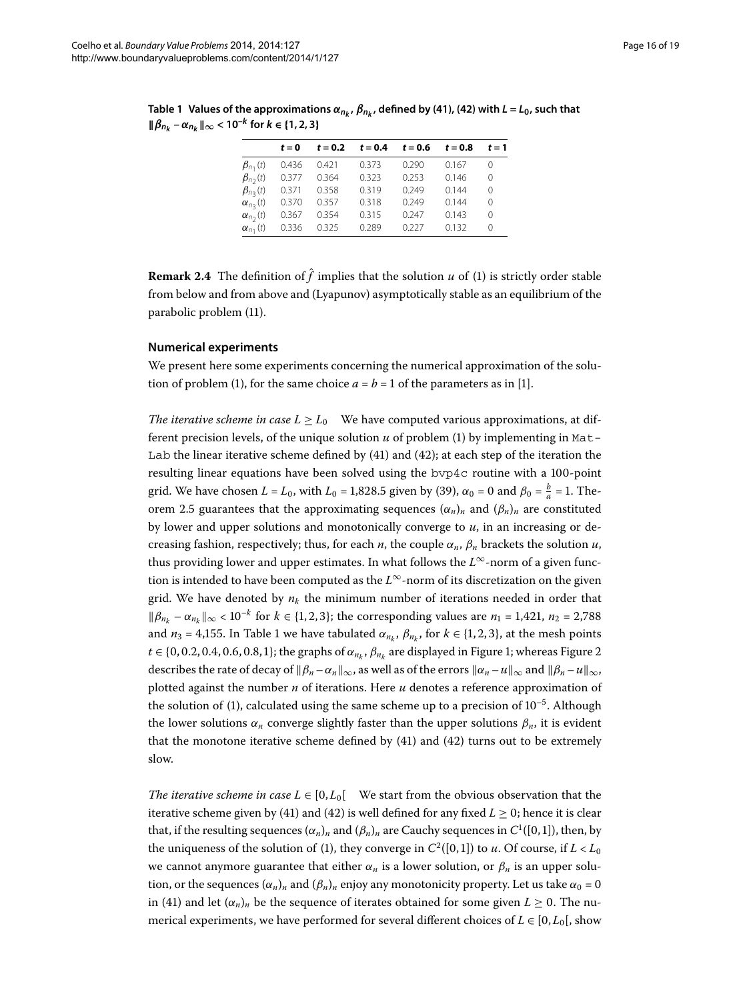|                   | $t=0$ | $t = 0.2$ | $t = 0.4$ | $t = 0.6$ | $t = 0.8$ | $t=1$ |
|-------------------|-------|-----------|-----------|-----------|-----------|-------|
| $\beta_{n_1}(t)$  | 0.436 | 0.421     | 0.373     | 0.290     | 0.167     | 0     |
| $\beta_{n_2}(t)$  | 0377  | 0.364     | 0.323     | 0253      | 0.146     | 0     |
| $\beta_{n_3}(t)$  | 0371  | 0.358     | 0.319     | 0.249     | 0144      | 0     |
| $\alpha_{n_3}(t)$ | 0.370 | 0.357     | 0.318     | 0.249     | 0.144     | 0     |
| $\alpha_{n_2}(t)$ | 0.367 | 0.354     | 0.315     | 0.247     | 0.143     | 0     |
| $\alpha_{n_1}(t)$ | 0.336 | 0.325     | 0.289     | 0.227     | 0.132     | Ω     |

<span id="page-15-0"></span>**Table 1 Values of the approximations**  $\alpha_{n_k}$ ,  $\beta_{n_k}$ , defined by [\(41\)](#page-11-0), [\(42\)](#page-11-1) with  $L = L_0$ , such that  $||\beta_{n_k} - \alpha_{n_k}||_{\infty} < 10^{-k}$  for  $k \in \{1, 2, 3\}$ 

**Remark 2.4** The definition of  $\hat{f}$  implies that the solution *u* of [\(](#page-0-2)1) is strictly order stable from below and from above and (Lyapunov) asymptotically stable as an equilibrium of the parabolic problem  $(11)$  $(11)$ .

# **Numerical experiments**

We present here some experiments concerning the numerical approximation of the solution of problem (1), for the same choice  $a = b = 1$  of the parameters as in [1[\]](#page-18-3).

*The iterative scheme in case*  $L \ge L_0$  We have computed various approximations, at different precision levels, of the unique solution  $u$  of problem [\(](#page-0-2)1) by implementing in Mat-Lab the linear iterative scheme defined by  $(41)$  $(41)$  and  $(42)$ ; at each step of the iteration the resulting linear equations have been solved using the  $bvp4c$  routine with a 100-point grid. We have chosen  $L = L_0$ , with  $L_0 = 1,828.5$  given by (39[\)](#page-10-2),  $\alpha_0 = 0$  and  $\beta_0 = \frac{b}{a} = 1$ . The-orem 2[.](#page-11-2)5 guarantees that the approximating sequences  $(\alpha_n)_n$  and  $(\beta_n)_n$  are constituted by lower and upper solutions and monotonically converge to *u*, in an increasing or decreasing fashion, respectively; thus, for each *n*, the couple  $\alpha_n$ ,  $\beta_n$  brackets the solution *u*, thus providing lower and upper estimates. In what follows the  $L^{\infty}$ -norm of a given function is intended to have been computed as the *L*∞-norm of its discretization on the given grid. We have denoted by  $n_k$  the minimum number of iterations needed in order that  $\|\beta_{n_k} - \alpha_{n_k}\|_{\infty} < 10^{-k}$  for  $k \in \{1, 2, 3\}$ ; the corresponding values are  $n_1 = 1,421$ ,  $n_2 = 2,788$ and  $n_3 = 4,155$ . In Table 1 we have tabulated  $\alpha_{n_k}$ ,  $\beta_{n_k}$ , for  $k \in \{1, 2, 3\}$ , at the mesh points  $t \in \{0, 0.2, 0.4, 0.6, 0.8, 1\};$  the graphs of  $\alpha_{n_k}$ ,  $\beta_{n_k}$  are displayed in Figure 1; whereas Figure 2 describes the rate of decay of  $\|\beta_n - \alpha_n\|_{\infty}$ , as well as of the errors  $\|\alpha_n - u\|_{\infty}$  and  $\|\beta_n - u\|_{\infty}$ , plotted against the number *n* of iterations. Here *u* denotes a reference approximation of the solution of [\(](#page-0-2)1), calculated using the same scheme up to a precision of  $10^{-5}$ . Although the lower solutions  $\alpha_n$  converge slightly faster than the upper solutions  $\beta_n$ , it is evident that the monotone iterative scheme defined by  $(41)$  and  $(42)$  turns out to be extremely slow.

*The iterative scheme in case L*  $\in$  [0,  $L_0$ ] We start from the obvious observation that the iterative scheme given by [\(](#page-11-1)41) and (42) is well defined for any fixed  $L \ge 0$ ; hence it is clear that, if the resulting sequences  $(\alpha_n)_n$  and  $(\beta_n)_n$  are Cauchy sequences in  $C^1([0,1])$ , then, by the uniqueness of the solution of (1), they converge in  $C^2([0, 1])$  to *u*. Of course, if  $L < L_0$ we cannot anymore guarantee that either  $\alpha_n$  is a lower solution, or  $\beta_n$  is an upper solution, or the sequences  $(\alpha_n)_n$  and  $(\beta_n)_n$  enjoy any monotonicity property. Let us take  $\alpha_0 = 0$ in (41) and let  $(\alpha_n)_n$  be the sequence of iterates obtained for some given  $L \ge 0$ . The numerical experiments, we have performed for several different choices of  $L \in [0, L_0[$ , show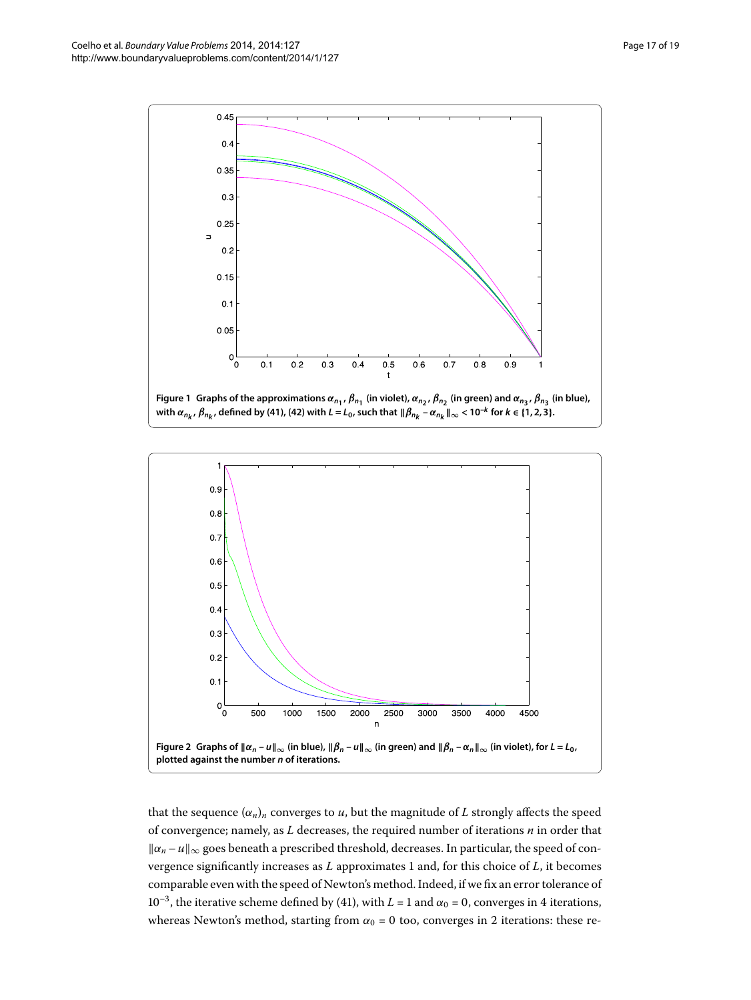

<span id="page-16-1"></span><span id="page-16-0"></span>



that the sequence  $(\alpha_n)_n$  converges to *u*, but the magnitude of *L* strongly affects the speed of convergence; namely, as *L* decreases, the required number of iterations *n* in order that  $\|\alpha_n - u\|_{\infty}$  goes beneath a prescribed threshold, decreases. In particular, the speed of convergence significantly increases as  $L$  approximates 1 and, for this choice of  $L$ , it becomes comparable even with the speed of Newton's method. Indeed, if we fix an error tolerance of  $10^{-3}$ , the iterative scheme defined by [\(](#page-11-0)41), with *L* = 1 and  $\alpha_0$  = 0, converges in 4 iterations, whereas Newton's method, starting from  $\alpha_0 = 0$  too, converges in 2 iterations: these re-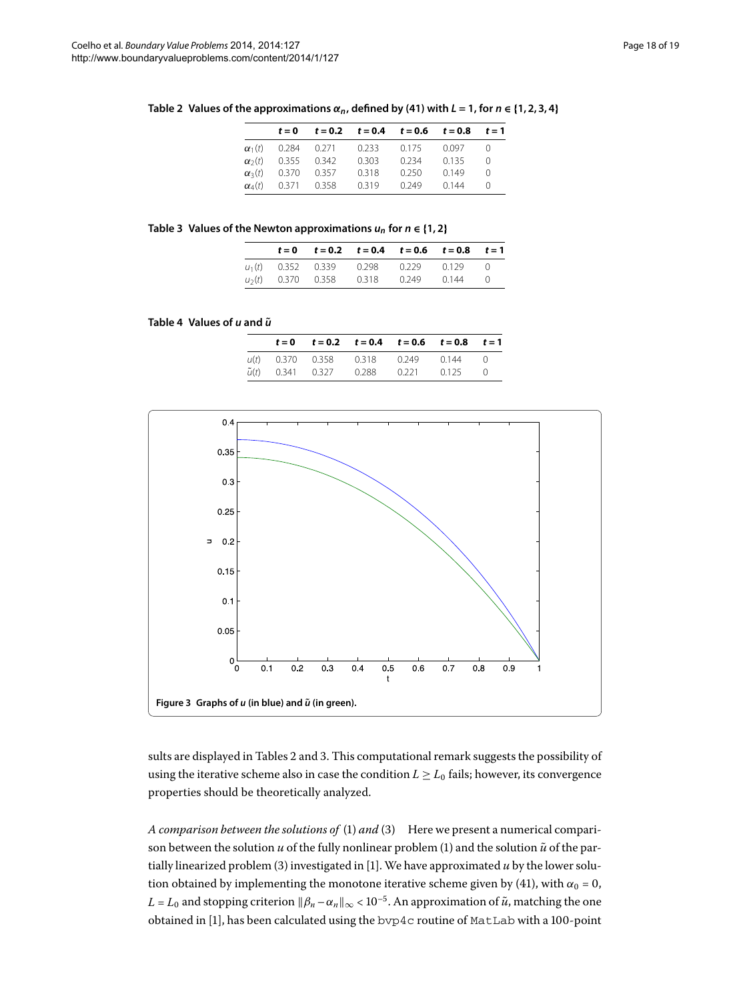<span id="page-17-1"></span><span id="page-17-0"></span>**Table 2 Values of the approximations** *αn***, defined by ([41](#page-11-0)) with** *L* **= 1, for** *n* **∈ {1, 2, 3, 4}**

<span id="page-17-2"></span>

|  | Table 3 Values of the Newton approximations $u_n$ for $n \in \{1,2\}$ |  |  |  |  |  |  |  |  |  |
|--|-----------------------------------------------------------------------|--|--|--|--|--|--|--|--|--|
|--|-----------------------------------------------------------------------|--|--|--|--|--|--|--|--|--|

|                      | $t=0$ $t=0.2$ $t=0.4$ $t=0.6$ $t=0.8$ $t=1$ |       |       |           |
|----------------------|---------------------------------------------|-------|-------|-----------|
| $u_1(t)$ 0.352 0.339 | 0.298                                       | 0.229 | 0.129 | $\bigcap$ |
| $u_2(t)$ 0.370 0.358 | 0.318                                       | 0.249 | 0.144 | $\bigcap$ |

# Table 4 Values of  $u$  and  $\tilde{u}$

<span id="page-17-3"></span>

|                |             |                   | $t=0$ $t=0.2$ $t=0.4$ $t=0.6$ $t=0.8$ $t=1$ |         |       |  |
|----------------|-------------|-------------------|---------------------------------------------|---------|-------|--|
| U(t)           | 0.370 0.358 |                   | 0.318                                       | በ 249   | 0.144 |  |
| $\tilde{u}(t)$ |             | 0.341 0.327 0.288 |                                             | 0 2 2 1 | 0.125 |  |



sults are displayed in Tables 2 and 3. This computational remark suggests the possibility of using the iterative scheme also in case the condition  $L \ge L_0$  fails; however, its convergence properties should be theoretically analyzed.

*A comparison between the solutions of* (1[\)](#page-0-3) *and* (3) Here we present a numerical comparison between the solution  $u$  of the fully nonlinear problem [\(](#page-0-2)1) and the solution  $\tilde{u}$  of the partially linearized problem  $(3)$  $(3)$  investigated in [1[\]](#page-18-3). We have approximated  $u$  by the lower solution obtained by implementing the monotone iterative scheme given by (41), with  $\alpha_0 = 0$ , *L* = *L*<sub>0</sub> and stopping criterion  $\|\beta_n - \alpha_n\|_{\infty}$  < 10<sup>-5</sup>. An approximation of  $\tilde{u}$ , matching the one obtained in [1[\]](#page-18-3), has been calculated using the  $bvp4c$  routine of MatLab with a 100-point